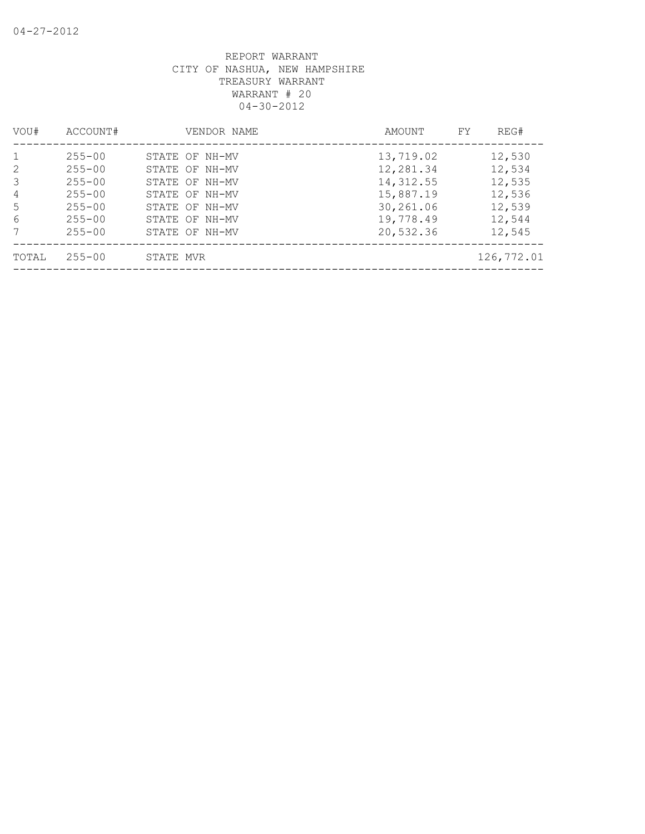| VOU#    | ACCOUNT#                 |           | VENDOR NAME                      | AMOUNT                 | FY | REG#             |
|---------|--------------------------|-----------|----------------------------------|------------------------|----|------------------|
|         | $255 - 00$               |           | STATE OF NH-MV                   | 13,719.02              |    | 12,530           |
| 2<br>3  | $255 - 00$<br>$255 - 00$ |           | STATE OF NH-MV<br>STATE OF NH-MV | 12,281.34<br>14,312.55 |    | 12,534<br>12,535 |
| 4<br>.5 | $255 - 00$<br>$255 - 00$ |           | STATE OF NH-MV<br>STATE OF NH-MV | 15,887.19<br>30,261.06 |    | 12,536<br>12,539 |
| 6<br>7  | $255 - 00$<br>$255 - 00$ |           | STATE OF NH-MV<br>STATE OF NH-MV | 19,778.49<br>20,532.36 |    | 12,544<br>12,545 |
| TOTAL   | $255 - 00$               | STATE MVR |                                  |                        |    | 126,772.01       |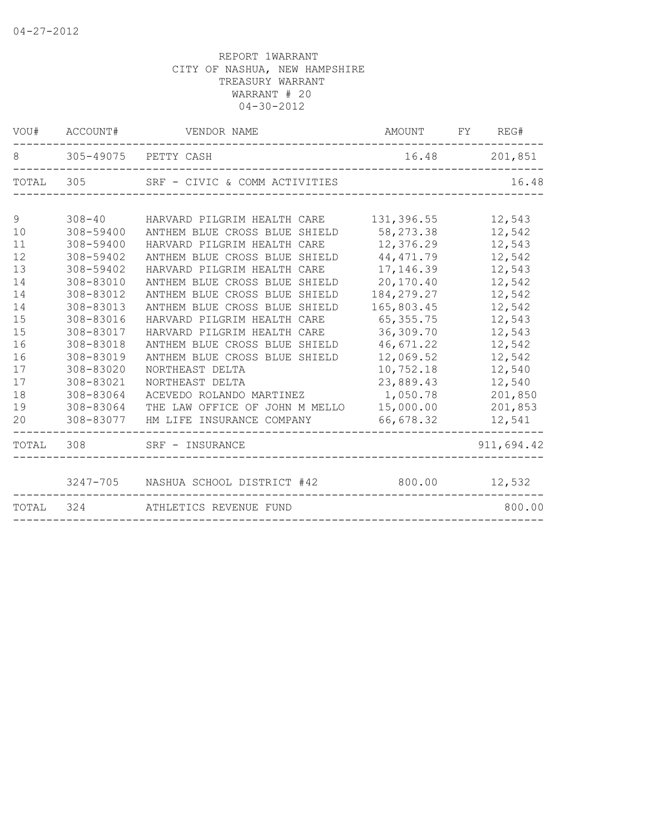|       | VOU# ACCOUNT# | VENDOR NAME                         | AMOUNT       | FY<br>REG# |
|-------|---------------|-------------------------------------|--------------|------------|
| 8     |               | 305-49075 PETTY CASH                | 16.48        | 201,851    |
| TOTAL | 305           | SRF - CIVIC & COMM ACTIVITIES       |              | 16.48      |
|       |               |                                     |              |            |
| 9     | $308 - 40$    | HARVARD PILGRIM HEALTH CARE         | 131,396.55   | 12,543     |
| 10    | 308-59400     | ANTHEM BLUE CROSS BLUE SHIELD       | 58, 273.38   | 12,542     |
| 11    | 308-59400     | HARVARD PILGRIM HEALTH CARE         | 12,376.29    | 12,543     |
| 12    | 308-59402     | ANTHEM BLUE CROSS BLUE SHIELD       | 44, 471.79   | 12,542     |
| 13    | 308-59402     | HARVARD PILGRIM HEALTH CARE         | 17,146.39    | 12,543     |
| 14    | 308-83010     | ANTHEM BLUE CROSS BLUE SHIELD       | 20,170.40    | 12,542     |
| 14    | 308-83012     | ANTHEM BLUE CROSS BLUE SHIELD       | 184, 279. 27 | 12,542     |
| 14    | 308-83013     | ANTHEM BLUE CROSS BLUE SHIELD       | 165,803.45   | 12,542     |
| 15    | 308-83016     | HARVARD PILGRIM HEALTH CARE         | 65, 355. 75  | 12,543     |
| 15    | 308-83017     | HARVARD PILGRIM HEALTH CARE         | 36,309.70    | 12,543     |
| 16    | 308-83018     | ANTHEM BLUE CROSS BLUE SHIELD       | 46,671.22    | 12,542     |
| 16    | 308-83019     | ANTHEM BLUE CROSS BLUE SHIELD       | 12,069.52    | 12,542     |
| 17    | 308-83020     | NORTHEAST DELTA                     | 10,752.18    | 12,540     |
| 17    | 308-83021     | NORTHEAST DELTA                     | 23,889.43    | 12,540     |
| 18    | 308-83064     | ACEVEDO ROLANDO MARTINEZ            | 1,050.78     | 201,850    |
| 19    | 308-83064     | THE LAW OFFICE OF JOHN M MELLO      | 15,000.00    | 201,853    |
| 20    | 308-83077     | HM LIFE INSURANCE COMPANY           | 66,678.32    | 12,541     |
| TOTAL | 308           | SRF - INSURANCE                     |              | 911,694.42 |
|       |               | 3247-705 NASHUA SCHOOL DISTRICT #42 | 800.00       | 12,532     |
| TOTAL | 324           | ATHLETICS REVENUE FUND              |              | 800.00     |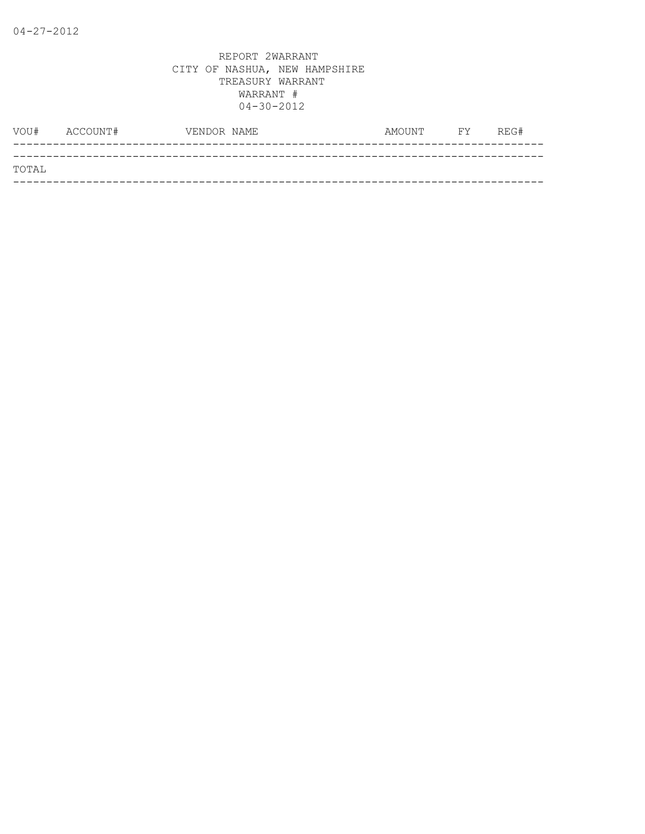| VOU#  | ACCOUNT# | VENDOR NAME | AMOUNT | <b>FY</b> | REG# |
|-------|----------|-------------|--------|-----------|------|
|       |          |             |        |           |      |
| TOTAL |          |             |        |           |      |
|       |          |             |        |           |      |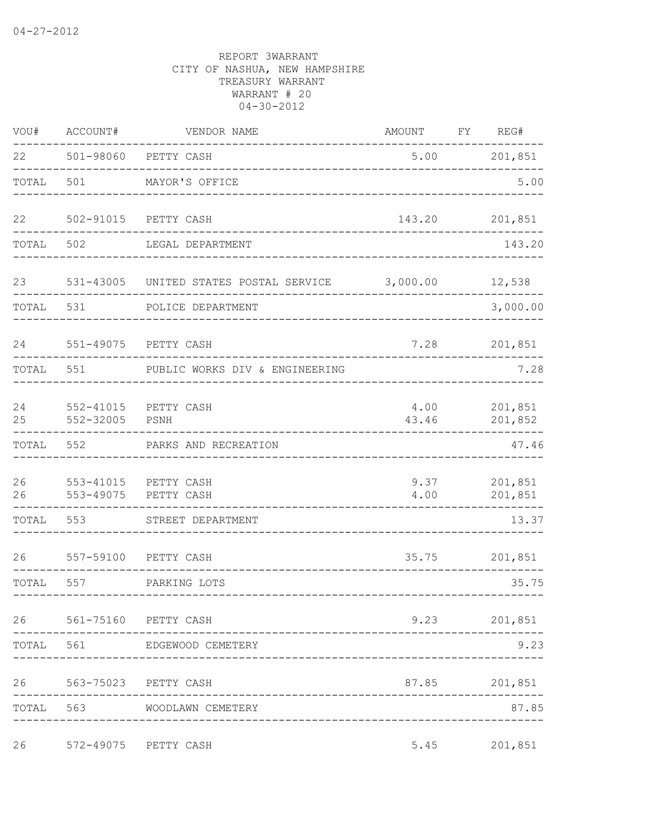| VOU#     | ACCOUNT#                   | VENDOR NAME                    | AMOUNT          | FY | REG#               |
|----------|----------------------------|--------------------------------|-----------------|----|--------------------|
| 22       | 501-98060                  | PETTY CASH                     | 5.00            |    | 201,851            |
| TOTAL    | 501                        | MAYOR'S OFFICE                 |                 |    | 5.00               |
| 22       | 502-91015                  | PETTY CASH                     | 143.20          |    | 201,851            |
| TOTAL    | 502                        | LEGAL DEPARTMENT               |                 |    | 143.20             |
| 23       | 531-43005                  | UNITED STATES POSTAL SERVICE   | 3,000.00 12,538 |    |                    |
| TOTAL    | 531                        | POLICE DEPARTMENT              |                 |    | 3,000.00           |
| 24       |                            | 551-49075 PETTY CASH           | 7.28            |    | 201,851            |
| TOTAL    | 551                        | PUBLIC WORKS DIV & ENGINEERING |                 |    | 7.28               |
| 24<br>25 | $552 - 41015$<br>552-32005 | PETTY CASH<br>PSNH             | 4.00<br>43.46   |    | 201,851<br>201,852 |
| TOTAL    | 552                        | PARKS AND RECREATION           |                 |    | 47.46              |
| 26<br>26 | $553 - 41015$<br>553-49075 | PETTY CASH<br>PETTY CASH       | 9.37<br>4.00    |    | 201,851<br>201,851 |
| TOTAL    | 553                        | STREET DEPARTMENT              |                 |    | 13.37              |
| 26       | 557-59100                  | PETTY CASH                     | 35.75           |    | 201,851            |
| TOTAL    | 557                        | PARKING LOTS<br>-------------- |                 |    | 35.75              |
|          |                            | 26 561-75160 PETTY CASH        |                 |    | 9.23 201,851       |
|          | TOTAL 561                  | EDGEWOOD CEMETERY              |                 |    | 9.23               |
|          |                            | 26 563-75023 PETTY CASH        |                 |    | 87.85 201,851      |
|          |                            | TOTAL 563 WOODLAWN CEMETERY    |                 |    | 87.85              |
| 26       |                            | 572-49075 PETTY CASH           | 5.45            |    | 201,851            |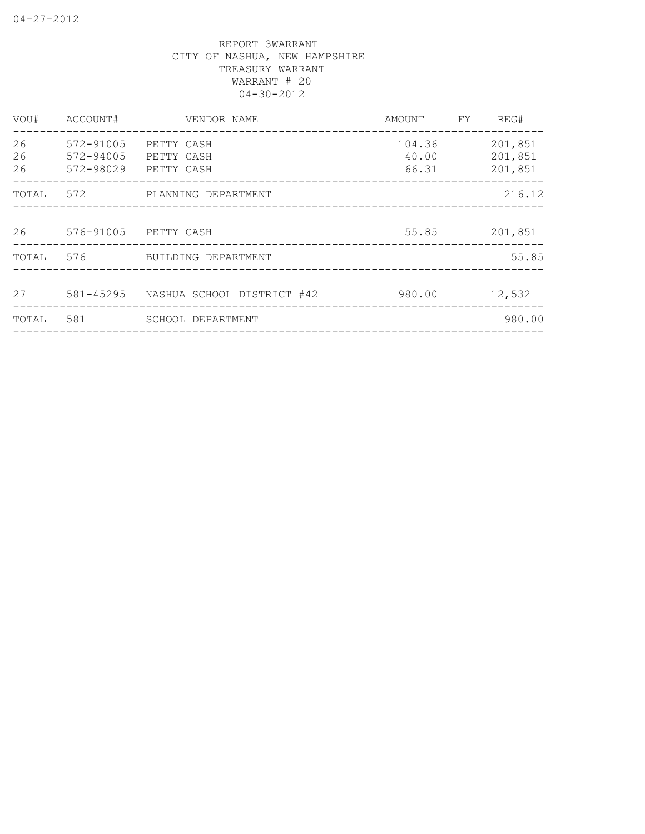| VOU#           | ACCOUNT#               | VENDOR NAME                                            | AMOUNT                   | FY | REG#                          |
|----------------|------------------------|--------------------------------------------------------|--------------------------|----|-------------------------------|
| 26<br>26<br>26 | 572-91005<br>572-94005 | PETTY CASH<br>PETTY CASH<br>572-98029 PETTY CASH       | 104.36<br>40.00<br>66.31 |    | 201,851<br>201,851<br>201,851 |
| TOTAL          | 572                    | PLANNING DEPARTMENT                                    |                          |    | 216.12                        |
| 26             |                        | 576-91005 PETTY CASH                                   | 55.85                    |    | 201,851                       |
| TOTAL          | 576                    | BUILDING DEPARTMENT                                    |                          |    | 55.85                         |
| 27             |                        | 581-45295 NASHUA SCHOOL DISTRICT #42<br>-------------- | 980.00                   |    | 12,532                        |
| TOTAL          | 581                    | SCHOOL DEPARTMENT                                      |                          |    | 980.00                        |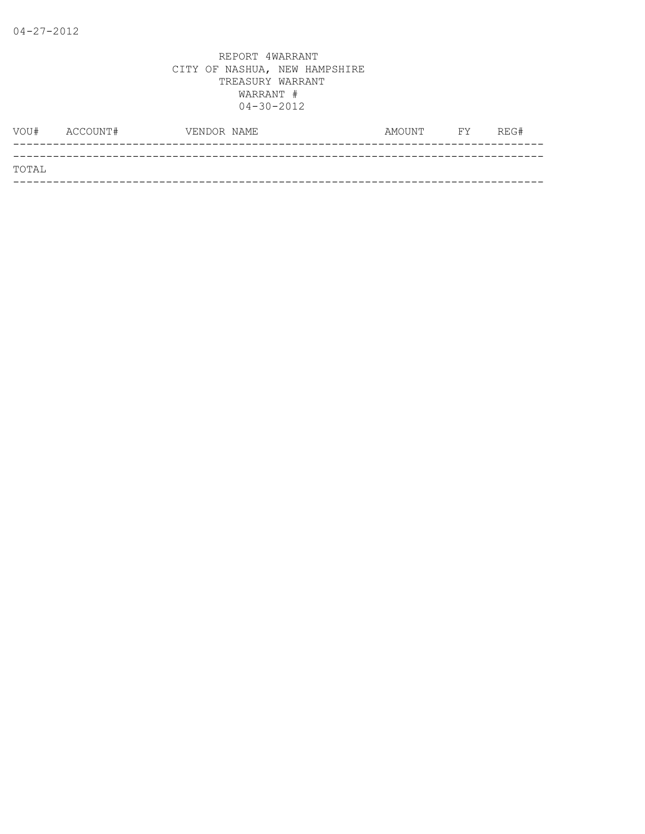| VOU#  | ACCOUNT# | VENDOR NAME | AMOUNT | <b>FY</b> | REG# |
|-------|----------|-------------|--------|-----------|------|
|       |          |             |        |           |      |
| TOTAL |          |             |        |           |      |
|       |          |             |        |           |      |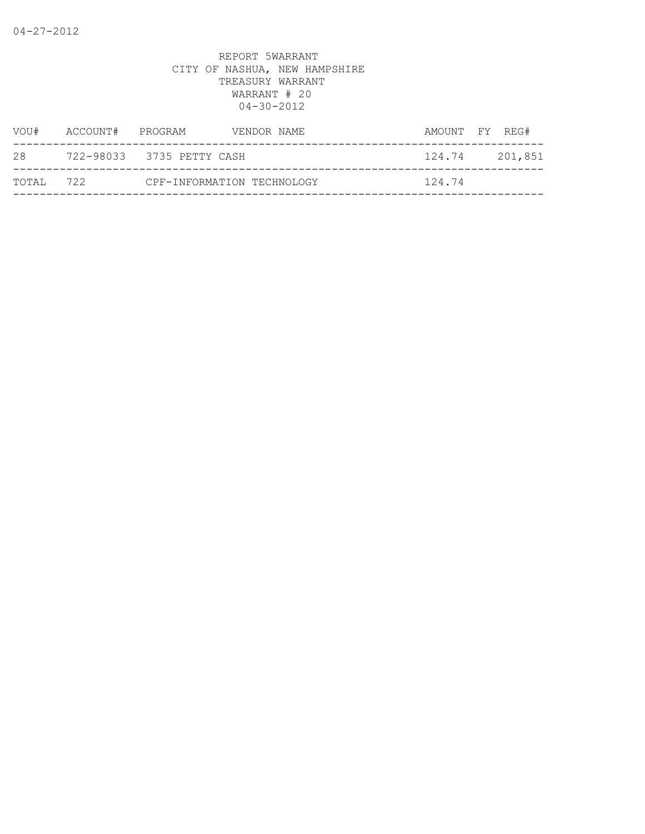|           | VENDOR NAME      | AMOUNT FY REG#                                          |                  |
|-----------|------------------|---------------------------------------------------------|------------------|
|           |                  |                                                         | 201,851          |
| TOTAL 722 |                  |                                                         |                  |
|           | ACCOUNT# PROGRAM | 722-98033 3735 PETTY CASH<br>CPF-INFORMATION TECHNOLOGY | 124.74<br>124.74 |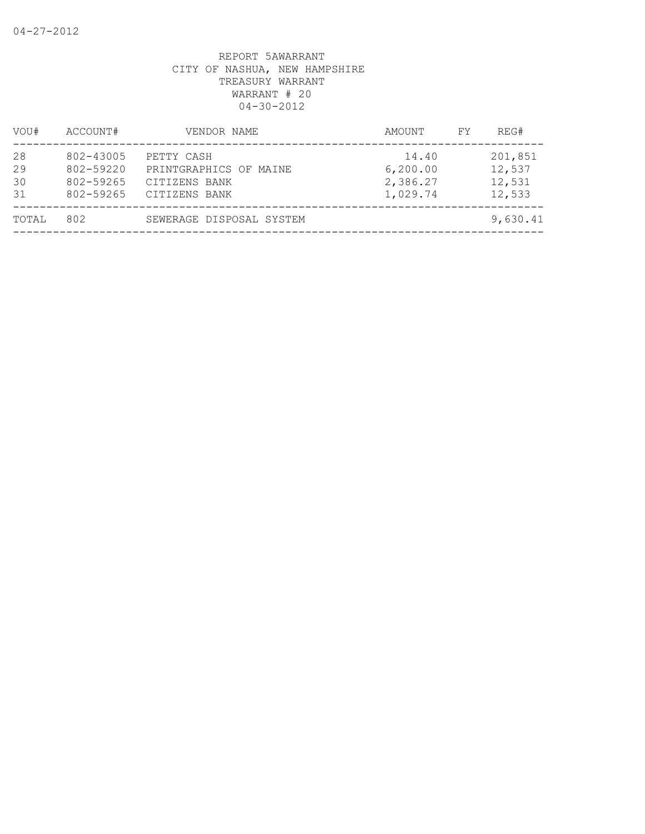| VOU#                 | ACCOUNT#                                         | VENDOR NAME                                                            | AMOUNT                                     | REG#<br>FY                            |
|----------------------|--------------------------------------------------|------------------------------------------------------------------------|--------------------------------------------|---------------------------------------|
| 28<br>29<br>30<br>31 | 802-43005<br>802-59220<br>802-59265<br>802-59265 | PETTY CASH<br>PRINTGRAPHICS OF MAINE<br>CITIZENS BANK<br>CITIZENS BANK | 14.40<br>6, 200.00<br>2,386.27<br>1,029.74 | 201,851<br>12,537<br>12,531<br>12,533 |
| TOTAL                | 802                                              | SEWERAGE DISPOSAL SYSTEM                                               |                                            | 9,630.41                              |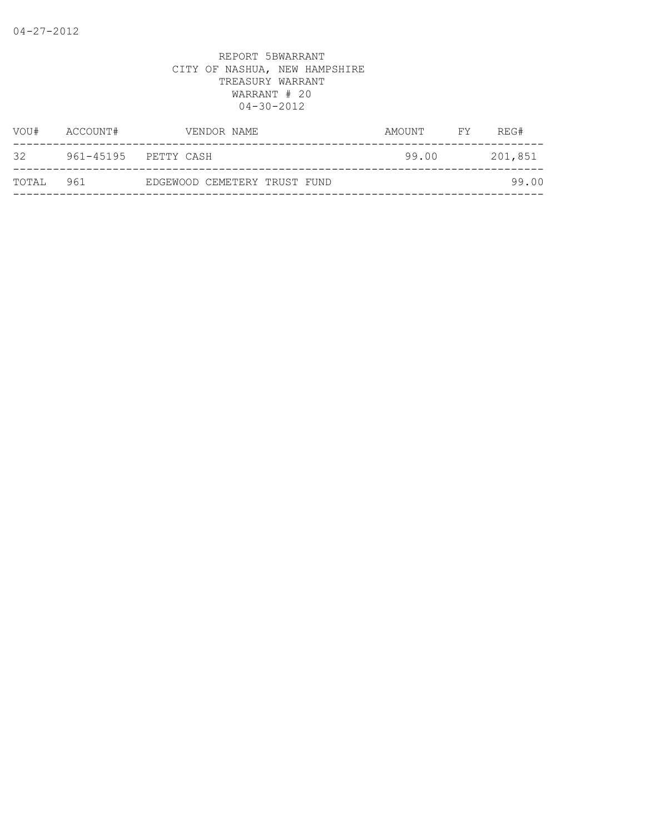| VOU#  | ACCOUNT# | VENDOR NAME                  | AMOUNT | FY <b>FY</b> | REG#    |
|-------|----------|------------------------------|--------|--------------|---------|
| 32    |          | 961-45195 PETTY CASH         | 99.00  |              | 201,851 |
| TOTAL | 961      | EDGEWOOD CEMETERY TRUST FUND |        |              | 99.00   |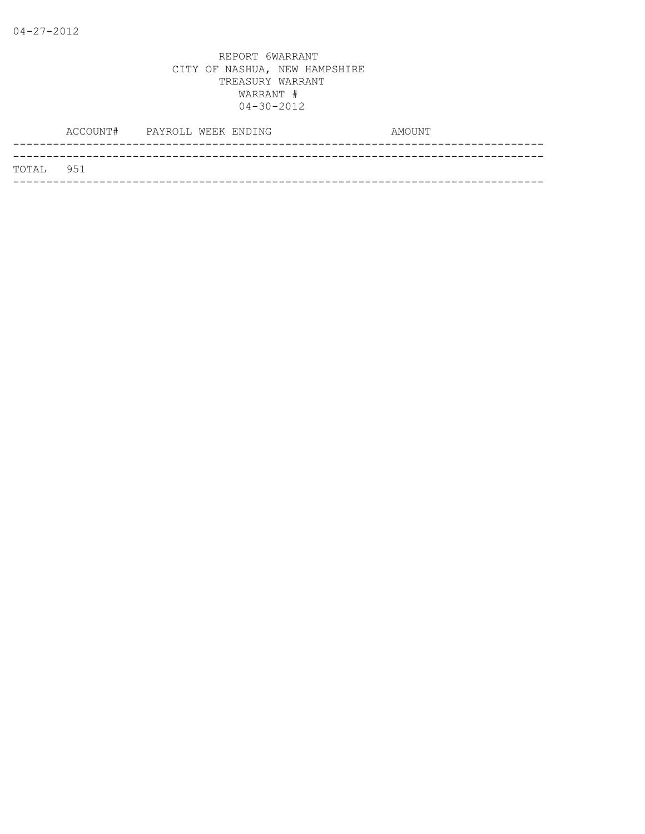|           | ACCOUNT# PAYROLL WEEK ENDING |  | AMOUNT |  |
|-----------|------------------------------|--|--------|--|
|           |                              |  |        |  |
| TOTAL 951 |                              |  |        |  |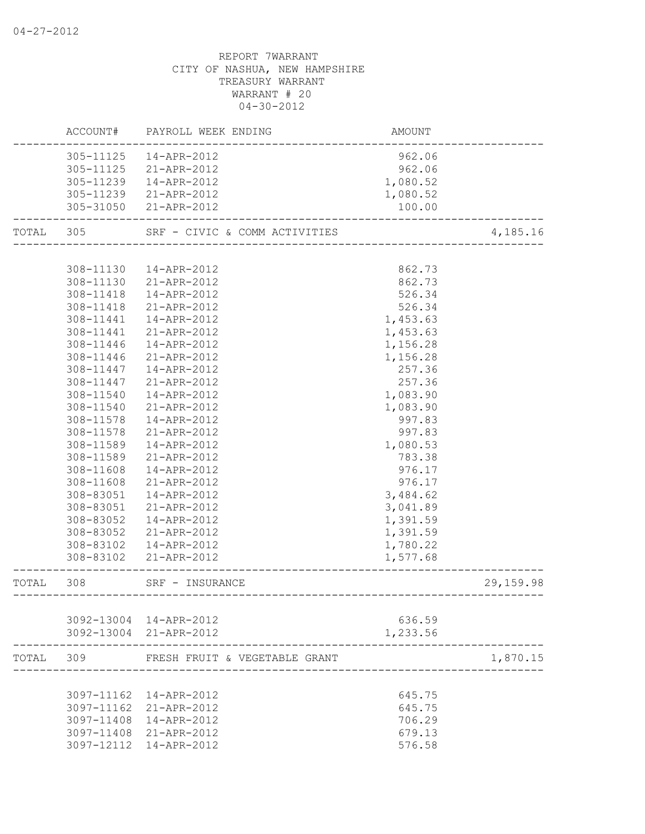|           |           | ACCOUNT# PAYROLL WEEK ENDING  | AMOUNT   |            |
|-----------|-----------|-------------------------------|----------|------------|
|           | 305-11125 | 14-APR-2012                   | 962.06   |            |
|           | 305-11125 | 21-APR-2012                   | 962.06   |            |
|           | 305-11239 | 14-APR-2012                   | 1,080.52 |            |
|           | 305-11239 | 21-APR-2012                   | 1,080.52 |            |
|           |           | 305-31050 21-APR-2012         | 100.00   |            |
| TOTAL 305 |           | SRF - CIVIC & COMM ACTIVITIES |          | 4,185.16   |
|           |           |                               |          |            |
|           | 308-11130 | 14-APR-2012                   | 862.73   |            |
|           | 308-11130 | 21-APR-2012                   | 862.73   |            |
|           | 308-11418 | 14-APR-2012                   | 526.34   |            |
|           | 308-11418 | 21-APR-2012                   | 526.34   |            |
|           | 308-11441 | 14-APR-2012                   | 1,453.63 |            |
|           | 308-11441 | 21-APR-2012                   | 1,453.63 |            |
|           | 308-11446 | 14-APR-2012                   | 1,156.28 |            |
|           | 308-11446 | 21-APR-2012                   | 1,156.28 |            |
|           | 308-11447 | 14-APR-2012                   | 257.36   |            |
|           | 308-11447 | 21-APR-2012                   | 257.36   |            |
|           | 308-11540 | 14-APR-2012                   | 1,083.90 |            |
|           | 308-11540 | 21-APR-2012                   | 1,083.90 |            |
|           | 308-11578 | 14-APR-2012                   | 997.83   |            |
|           | 308-11578 | 21-APR-2012                   | 997.83   |            |
|           | 308-11589 | 14-APR-2012                   | 1,080.53 |            |
|           | 308-11589 | 21-APR-2012                   | 783.38   |            |
|           | 308-11608 | 14-APR-2012                   | 976.17   |            |
|           | 308-11608 | 21-APR-2012                   | 976.17   |            |
|           | 308-83051 | 14-APR-2012                   | 3,484.62 |            |
|           | 308-83051 | 21-APR-2012                   | 3,041.89 |            |
|           | 308-83052 | 14-APR-2012                   | 1,391.59 |            |
|           |           | 308-83052 21-APR-2012         | 1,391.59 |            |
|           |           | 308-83102  14-APR-2012        | 1,780.22 |            |
|           | 308-83102 | 21-APR-2012                   | 1,577.68 |            |
| TOTAL 308 |           | SRF - INSURANCE               |          | 29, 159.98 |
|           |           |                               |          |            |
|           |           | 3092-13004 14-APR-2012        | 636.59   |            |
|           |           | 3092-13004 21-APR-2012        | 1,233.56 |            |
| TOTAL     | 309       | FRESH FRUIT & VEGETABLE GRANT |          | 1,870.15   |
|           |           |                               |          |            |
|           |           | 3097-11162  14-APR-2012       | 645.75   |            |
|           |           | 3097-11162 21-APR-2012        | 645.75   |            |
|           |           | 3097-11408 14-APR-2012        | 706.29   |            |
|           |           | 3097-11408 21-APR-2012        | 679.13   |            |
|           |           | 3097-12112  14-APR-2012       | 576.58   |            |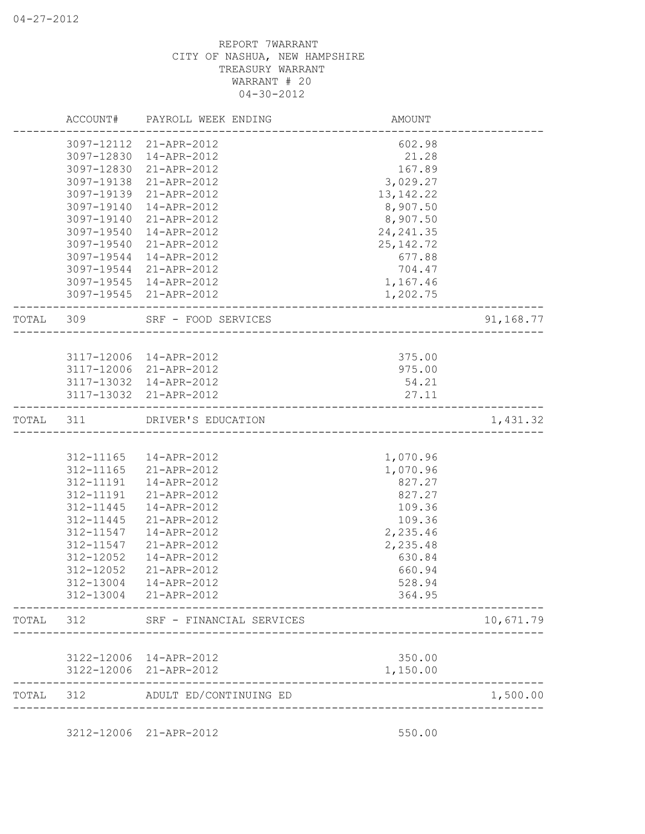|           |                          | 3097-12112 21-APR-2012     | 602.98             |           |
|-----------|--------------------------|----------------------------|--------------------|-----------|
|           | 3097-12830               | 14-APR-2012                | 21.28              |           |
|           | 3097-12830<br>3097-19138 | 21-APR-2012<br>21-APR-2012 | 167.89<br>3,029.27 |           |
|           | 3097-19139               | 21-APR-2012                | 13, 142. 22        |           |
|           | 3097-19140               | 14-APR-2012                | 8,907.50           |           |
|           | 3097-19140               | 21-APR-2012                | 8,907.50           |           |
|           | 3097-19540               | 14-APR-2012                | 24, 241.35         |           |
|           | 3097-19540               | 21-APR-2012                | 25, 142. 72        |           |
|           | 3097-19544               | 14-APR-2012                | 677.88             |           |
|           | 3097-19544               | 21-APR-2012                | 704.47             |           |
|           | 3097-19545               | 14-APR-2012                | 1,167.46           |           |
|           | 3097-19545               | 21-APR-2012                | 1,202.75           |           |
| TOTAL 309 |                          | SRF - FOOD SERVICES        |                    | 91,168.77 |
|           |                          |                            |                    |           |
|           | 3117-12006               | 14-APR-2012                | 375.00             |           |
|           | 3117-12006               | 21-APR-2012                | 975.00             |           |
|           | 3117-13032               | 14-APR-2012                | 54.21              |           |
|           | 3117-13032               | 21-APR-2012                | 27.11              |           |
| TOTAL 311 |                          | DRIVER'S EDUCATION         |                    | 1,431.32  |
|           |                          |                            |                    |           |
|           | 312-11165                | 14-APR-2012                | 1,070.96           |           |
|           | 312-11165                | 21-APR-2012                | 1,070.96           |           |
|           | 312-11191                | 14-APR-2012                | 827.27             |           |
|           | 312-11191                | 21-APR-2012                | 827.27             |           |
|           | 312-11445                | 14-APR-2012                | 109.36             |           |
|           | 312-11445                | 21-APR-2012                | 109.36             |           |
|           | 312-11547                | 14-APR-2012                | 2,235.46           |           |
|           | 312-11547                | 21-APR-2012                | 2,235.48           |           |
|           | 312-12052                | 14-APR-2012                | 630.84             |           |
|           | 312-12052                | 21-APR-2012                | 660.94             |           |
|           | 312-13004                | 14-APR-2012                | 528.94             |           |
|           | 312-13004                | 21-APR-2012                | 364.95             |           |
| TOTAL     | 312                      | SRF - FINANCIAL SERVICES   |                    | 10,671.79 |
|           | 3122-12006               | 14-APR-2012                | 350.00             |           |
|           | 3122-12006               | 21-APR-2012                | 1,150.00           |           |
| TOTAL     | 312                      | ADULT ED/CONTINUING ED     |                    | 1,500.00  |

3212-12006 21-APR-2012 550.00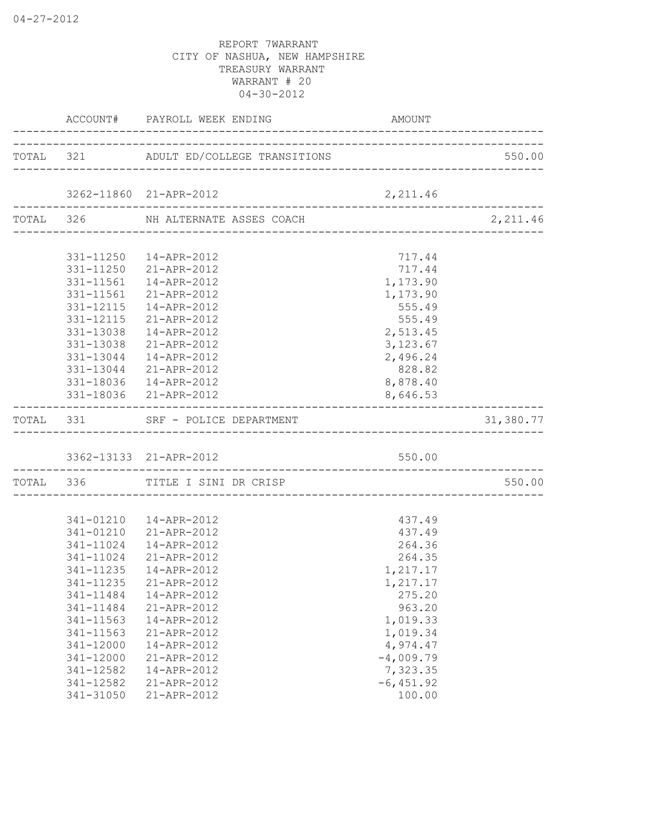|           |           | ACCOUNT# PAYROLL WEEK ENDING                                  | AMOUNT       |                                 |
|-----------|-----------|---------------------------------------------------------------|--------------|---------------------------------|
|           |           | TOTAL 321 ADULT ED/COLLEGE TRANSITIONS                        |              | 550.00                          |
|           |           |                                                               |              |                                 |
|           |           | 3262-11860 21-APR-2012<br>----------------------------------- | 2,211.46     | . _ _ _ _ _ _ _ _ _ _ _ _ _ _ _ |
|           |           | TOTAL 326 NH ALTERNATE ASSES COACH                            |              | 2,211.46                        |
|           |           | 331-11250  14-APR-2012                                        | 717.44       |                                 |
|           | 331-11250 | 21-APR-2012                                                   | 717.44       |                                 |
|           | 331-11561 | 14-APR-2012                                                   | 1,173.90     |                                 |
|           | 331-11561 | 21-APR-2012                                                   | 1,173.90     |                                 |
|           | 331-12115 | 14-APR-2012                                                   | 555.49       |                                 |
|           | 331-12115 | 21-APR-2012                                                   | 555.49       |                                 |
|           | 331-13038 | 14-APR-2012                                                   | 2,513.45     |                                 |
|           | 331-13038 | 21-APR-2012                                                   | 3, 123.67    |                                 |
|           |           | 331-13044  14-APR-2012                                        | 2,496.24     |                                 |
|           |           | 331-13044 21-APR-2012                                         | 828.82       |                                 |
|           |           | 331-18036  14-APR-2012                                        | 8,878.40     |                                 |
|           |           | 331-18036 21-APR-2012                                         | 8,646.53     |                                 |
|           |           | TOTAL 331 SRF - POLICE DEPARTMENT                             |              | 31,380.77                       |
|           |           |                                                               |              |                                 |
|           |           | 3362-13133 21-APR-2012                                        | 550.00       |                                 |
| TOTAL 336 |           | TITLE I SINI DR CRISP                                         |              | 550.00                          |
|           |           |                                                               |              |                                 |
|           |           | 341-01210  14-APR-2012                                        | 437.49       |                                 |
|           |           | 341-01210 21-APR-2012                                         | 437.49       |                                 |
|           |           | 341-11024  14-APR-2012                                        | 264.36       |                                 |
|           | 341-11024 | 21-APR-2012                                                   | 264.35       |                                 |
|           | 341-11235 | 14-APR-2012                                                   | 1,217.17     |                                 |
|           | 341-11235 | 21-APR-2012                                                   | 1,217.17     |                                 |
|           | 341-11484 | 14-APR-2012                                                   | 275.20       |                                 |
|           | 341-11484 | 21-APR-2012                                                   | 963.20       |                                 |
|           | 341-11563 | 14-APR-2012                                                   | 1,019.33     |                                 |
|           | 341-11563 | 21-APR-2012                                                   | 1,019.34     |                                 |
|           | 341-12000 | 14-APR-2012                                                   | 4,974.47     |                                 |
|           | 341-12000 | 21-APR-2012                                                   | $-4,009.79$  |                                 |
|           | 341-12582 | 14-APR-2012                                                   | 7,323.35     |                                 |
|           | 341-12582 | 21-APR-2012                                                   | $-6, 451.92$ |                                 |
|           | 341-31050 | 21-APR-2012                                                   | 100.00       |                                 |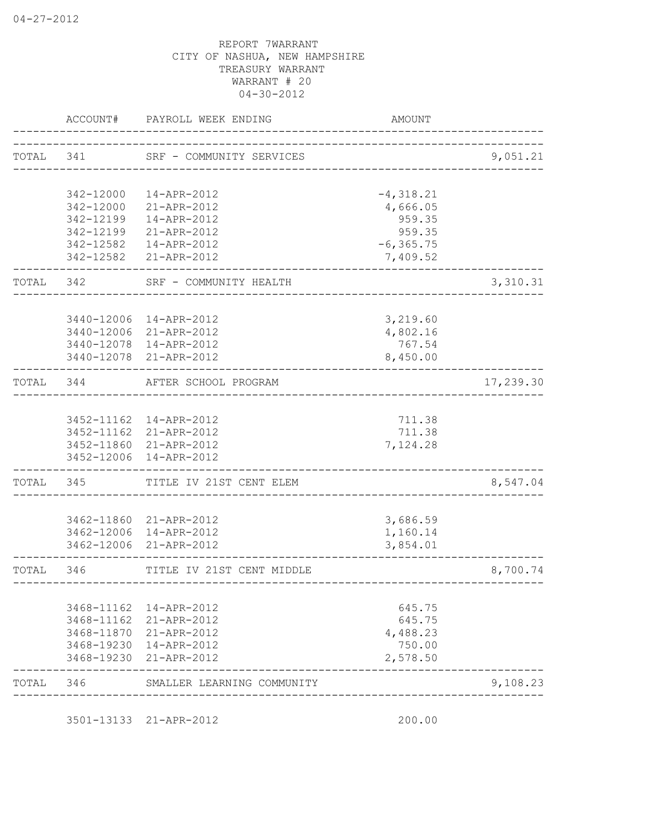|           | ACCOUNT#   | PAYROLL WEEK ENDING                    | <b>AMOUNT</b>                      |           |
|-----------|------------|----------------------------------------|------------------------------------|-----------|
|           |            | TOTAL 341 SRF - COMMUNITY SERVICES     |                                    | 9,051.21  |
|           | 342-12000  | 14-APR-2012                            | $-4,318.21$                        |           |
|           | 342-12000  | 21-APR-2012                            | 4,666.05                           |           |
|           | 342-12199  | 14-APR-2012                            | 959.35                             |           |
|           | 342-12199  | 21-APR-2012                            | 959.35                             |           |
|           | 342-12582  | 14-APR-2012<br>342-12582 21-APR-2012   | $-6, 365.75$<br>7,409.52           |           |
| TOTAL 342 |            | SRF - COMMUNITY HEALTH                 |                                    | 3,310.31  |
|           |            | 3440-12006 14-APR-2012                 | 3,219.60                           |           |
|           |            | 3440-12006 21-APR-2012                 | 4,802.16                           |           |
|           |            | 3440-12078 14-APR-2012                 | 767.54                             |           |
|           |            | 3440-12078 21-APR-2012                 | 8,450.00                           |           |
| TOTAL 344 |            | AFTER SCHOOL PROGRAM                   | __________________________________ | 17,239.30 |
|           |            | 3452-11162  14-APR-2012                | 711.38                             |           |
|           |            | 3452-11162 21-APR-2012                 | 711.38                             |           |
|           |            | 3452-11860 21-APR-2012                 | 7,124.28                           |           |
|           |            | 3452-12006 14-APR-2012                 |                                    |           |
| TOTAL 345 |            | TITLE IV 21ST CENT ELEM                | _________________________________  | 8,547.04  |
|           |            | 3462-11860 21-APR-2012                 | 3,686.59                           |           |
|           |            | 3462-12006 14-APR-2012                 | 1,160.14                           |           |
|           |            | 3462-12006 21-APR-2012                 | 3,854.01                           |           |
| TOTAL     | 346        | TITLE IV 21ST CENT MIDDLE              | ______________________________     | 8,700.74  |
|           |            |                                        |                                    |           |
|           | 3468-11162 | 3468-11162  14-APR-2012<br>21-APR-2012 | 645.75<br>645.75                   |           |
|           | 3468-11870 | 21-APR-2012                            | 4,488.23                           |           |
|           | 3468-19230 | 14-APR-2012                            | 750.00                             |           |
|           | 3468-19230 | 21-APR-2012                            | 2,578.50                           |           |
| TOTAL     | 346        | SMALLER LEARNING COMMUNITY             |                                    | 9,108.23  |

3501-13133 21-APR-2012 200.00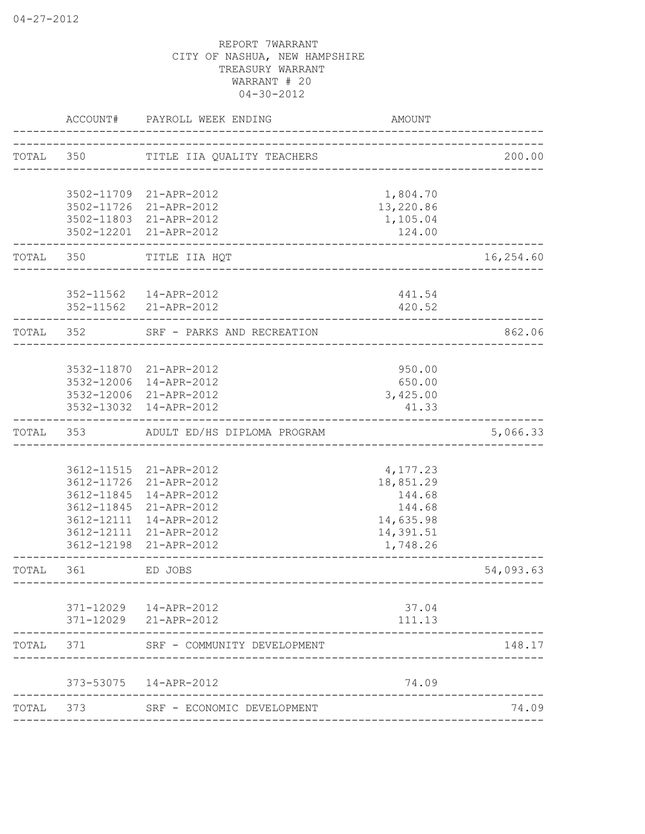|       | ACCOUNT#   | PAYROLL WEEK ENDING                              | <b>AMOUNT</b>          |           |
|-------|------------|--------------------------------------------------|------------------------|-----------|
|       |            | TOTAL 350 TITLE IIA QUALITY TEACHERS             |                        | 200.00    |
|       |            | 3502-11709 21-APR-2012                           | 1,804.70               |           |
|       |            | 3502-11726 21-APR-2012                           | 13,220.86              |           |
|       |            | 3502-11803 21-APR-2012                           | 1,105.04               |           |
|       |            | 3502-12201 21-APR-2012                           | 124.00                 |           |
| TOTAL | 350        | TITLE IIA HQT                                    |                        | 16,254.60 |
|       |            | 352-11562  14-APR-2012                           | 441.54                 |           |
|       |            | 352-11562 21-APR-2012                            | 420.52                 |           |
| TOTAL | 352        | SRF - PARKS AND RECREATION                       | ______________________ | 862.06    |
|       |            |                                                  |                        |           |
|       |            | 3532-11870 21-APR-2012                           | 950.00                 |           |
|       |            | 3532-12006 14-APR-2012<br>3532-12006 21-APR-2012 | 650.00<br>3,425.00     |           |
|       |            | 3532-13032 14-APR-2012                           | 41.33                  |           |
| TOTAL | 353        | ADULT ED/HS DIPLOMA PROGRAM                      |                        | 5,066.33  |
|       |            |                                                  |                        |           |
|       | 3612-11726 | 3612-11515 21-APR-2012<br>21-APR-2012            | 4,177.23<br>18,851.29  |           |
|       | 3612-11845 | 14-APR-2012                                      | 144.68                 |           |
|       | 3612-11845 | 21-APR-2012                                      | 144.68                 |           |
|       | 3612-12111 | 14-APR-2012                                      | 14,635.98              |           |
|       | 3612-12111 | 21-APR-2012                                      | 14,391.51              |           |
|       | 3612-12198 | 21-APR-2012                                      | 1,748.26               |           |
| TOTAL | 361        | ED JOBS                                          |                        | 54,093.63 |
|       |            |                                                  |                        |           |
|       |            | 371-12029  14-APR-2012<br>371-12029 21-APR-2012  | 37.04<br>111.13        |           |
| TOTAL | 371        | SRF - COMMUNITY DEVELOPMENT                      |                        | 148.17    |
|       |            | 373-53075  14-APR-2012                           | 74.09                  |           |
| TOTAL | 373        | SRF - ECONOMIC DEVELOPMENT                       |                        | 74.09     |
|       |            |                                                  |                        |           |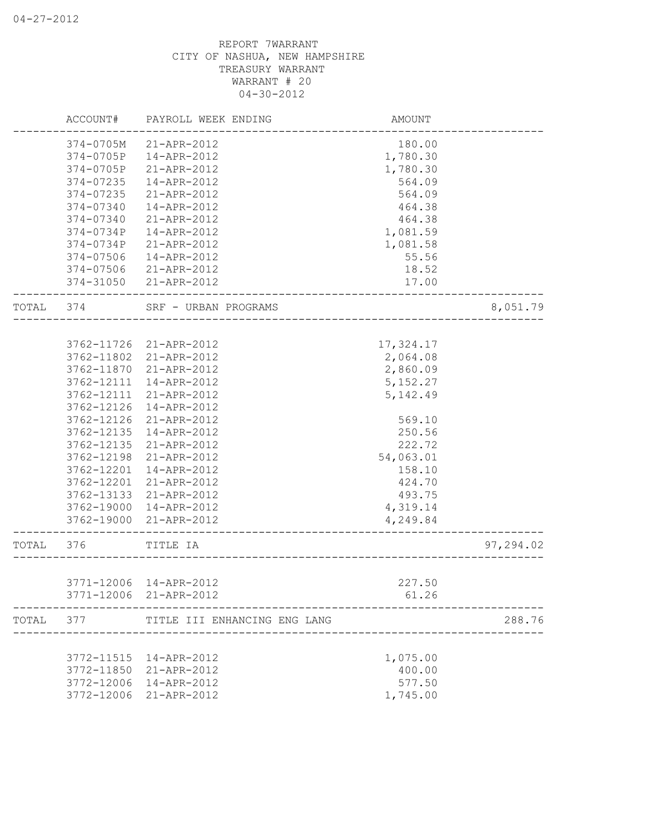|       | ACCOUNT#   | PAYROLL WEEK ENDING                              | AMOUNT                           |           |
|-------|------------|--------------------------------------------------|----------------------------------|-----------|
|       | 374-0705M  | 21-APR-2012                                      | 180.00                           |           |
|       | 374-0705P  | 14-APR-2012                                      | 1,780.30                         |           |
|       | 374-0705P  | 21-APR-2012                                      | 1,780.30                         |           |
|       | 374-07235  | 14-APR-2012                                      | 564.09                           |           |
|       | 374-07235  | 21-APR-2012                                      | 564.09                           |           |
|       | 374-07340  | 14-APR-2012                                      | 464.38                           |           |
|       | 374-07340  | 21-APR-2012                                      | 464.38                           |           |
|       | 374-0734P  | 14-APR-2012                                      | 1,081.59                         |           |
|       | 374-0734P  | 21-APR-2012                                      | 1,081.58                         |           |
|       | 374-07506  | 14-APR-2012                                      | 55.56                            |           |
|       | 374-07506  | 21-APR-2012                                      | 18.52                            |           |
|       | 374-31050  | 21-APR-2012                                      | 17.00                            |           |
| TOTAL | 374        | SRF - URBAN PROGRAMS                             | ________________________________ | 8,051.79  |
|       |            |                                                  |                                  |           |
|       |            | 3762-11726 21-APR-2012                           | 17,324.17                        |           |
|       | 3762-11802 | 21-APR-2012                                      | 2,064.08                         |           |
|       | 3762-11870 | 21-APR-2012                                      | 2,860.09                         |           |
|       | 3762-12111 | 14-APR-2012                                      | 5, 152.27                        |           |
|       | 3762-12111 | 21-APR-2012                                      | 5, 142.49                        |           |
|       | 3762-12126 | 14-APR-2012                                      |                                  |           |
|       | 3762-12126 | 21-APR-2012                                      | 569.10                           |           |
|       | 3762-12135 | 14-APR-2012                                      | 250.56                           |           |
|       | 3762-12135 | 21-APR-2012                                      | 222.72                           |           |
|       | 3762-12198 | 21-APR-2012                                      | 54,063.01                        |           |
|       | 3762-12201 | 14-APR-2012                                      | 158.10                           |           |
|       | 3762-12201 | 21-APR-2012                                      | 424.70                           |           |
|       | 3762-13133 | 21-APR-2012                                      | 493.75                           |           |
|       | 3762-19000 | 14-APR-2012                                      | 4,319.14                         |           |
|       | 3762-19000 | 21-APR-2012                                      | 4,249.84                         |           |
| TOTAL | 376        | TITLE IA                                         |                                  | 97,294.02 |
|       |            |                                                  |                                  |           |
|       |            | 3771-12006 14-APR-2012<br>3771-12006 21-APR-2012 | 227.50<br>61.26                  |           |
|       |            |                                                  |                                  |           |
| TOTAL | 377        | TITLE III ENHANCING ENG LANG                     |                                  | 288.76    |
|       | 3772-11515 | 14-APR-2012                                      |                                  |           |
|       |            |                                                  | 1,075.00<br>400.00               |           |
|       | 3772-11850 | 21-APR-2012                                      |                                  |           |
|       | 3772-12006 | 14-APR-2012                                      | 577.50                           |           |
|       | 3772-12006 | 21-APR-2012                                      | 1,745.00                         |           |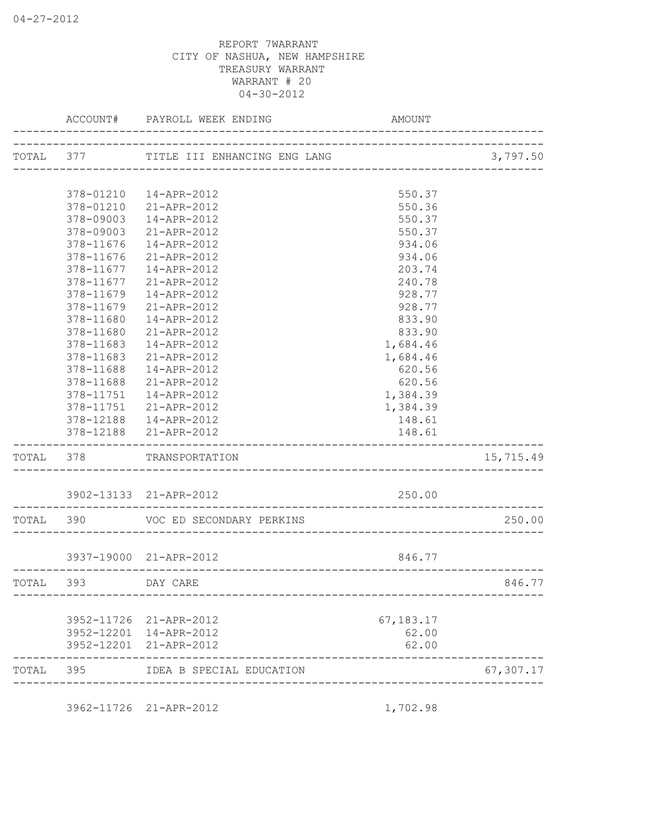|           | ACCOUNT#               | PAYROLL WEEK ENDING                    | AMOUNT           |           |
|-----------|------------------------|----------------------------------------|------------------|-----------|
|           |                        | TOTAL 377 TITLE III ENHANCING ENG LANG |                  | 3,797.50  |
|           |                        |                                        |                  |           |
|           |                        | 378-01210  14-APR-2012                 | 550.37           |           |
|           |                        | 378-01210 21-APR-2012                  | 550.36           |           |
|           | 378-09003<br>378-09003 | 14-APR-2012                            | 550.37           |           |
|           | 378-11676              | 21-APR-2012<br>14-APR-2012             | 550.37<br>934.06 |           |
|           | 378-11676              | 21-APR-2012                            | 934.06           |           |
|           | 378-11677              | 14-APR-2012                            | 203.74           |           |
|           | 378-11677              | 21-APR-2012                            | 240.78           |           |
|           | 378-11679              | 14-APR-2012                            | 928.77           |           |
|           | 378-11679              | 21-APR-2012                            | 928.77           |           |
|           | 378-11680              | 14-APR-2012                            | 833.90           |           |
|           | 378-11680              | 21-APR-2012                            | 833.90           |           |
|           | 378-11683              | 14-APR-2012                            | 1,684.46         |           |
|           | 378-11683              | 21-APR-2012                            | 1,684.46         |           |
|           | 378-11688              | 14-APR-2012                            | 620.56           |           |
|           | 378-11688              | 21-APR-2012                            | 620.56           |           |
|           |                        | 378-11751  14-APR-2012                 | 1,384.39         |           |
|           |                        | 378-11751 21-APR-2012                  | 1,384.39         |           |
|           |                        | 378-12188  14-APR-2012                 | 148.61           |           |
|           |                        | 378-12188 21-APR-2012                  | 148.61           |           |
| TOTAL 378 |                        | TRANSPORTATION                         |                  | 15,715.49 |
|           |                        | 3902-13133 21-APR-2012                 | 250.00           |           |
|           |                        | TOTAL 390 VOC ED SECONDARY PERKINS     |                  | 250.00    |
|           |                        |                                        |                  |           |
|           |                        | 3937-19000 21-APR-2012                 | 846.77           |           |
| TOTAL     | 393                    | DAY CARE                               |                  | 846.77    |
|           | 3952-11726             | 21-APR-2012                            | 67,183.17        |           |
|           | 3952-12201             | 14-APR-2012                            | 62.00            |           |
|           | 3952-12201             | 21-APR-2012                            | 62.00            |           |
| TOTAL     | 395                    | IDEA B SPECIAL EDUCATION               |                  | 67,307.17 |

3962-11726 21-APR-2012 1,702.98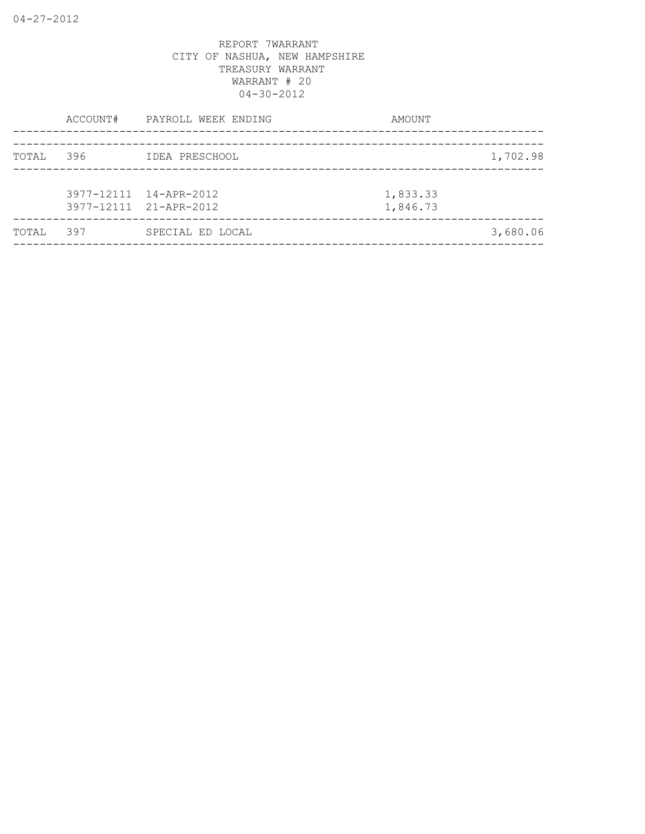|       | ACCOUNT# | PAYROLL WEEK ENDING                              | AMOUNT               |          |
|-------|----------|--------------------------------------------------|----------------------|----------|
| TOTAL | 396      | IDEA PRESCHOOL                                   |                      | 1,702.98 |
|       |          | 3977-12111 14-APR-2012<br>3977-12111 21-APR-2012 | 1,833.33<br>1,846.73 |          |
| TOTAL | 397      | SPECIAL ED LOCAL                                 |                      | 3,680.06 |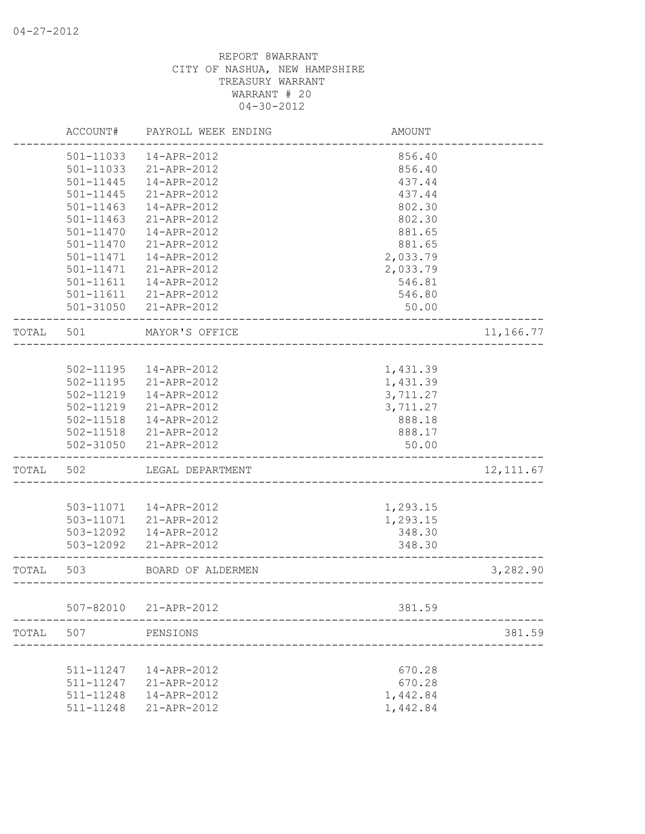|       | ACCOUNT#      | PAYROLL WEEK ENDING    | AMOUNT   |            |
|-------|---------------|------------------------|----------|------------|
|       | 501-11033     | 14-APR-2012            | 856.40   |            |
|       | 501-11033     | 21-APR-2012            | 856.40   |            |
|       | $501 - 11445$ | 14-APR-2012            | 437.44   |            |
|       | $501 - 11445$ | 21-APR-2012            | 437.44   |            |
|       | 501-11463     | 14-APR-2012            | 802.30   |            |
|       | 501-11463     | 21-APR-2012            | 802.30   |            |
|       | 501-11470     | 14-APR-2012            | 881.65   |            |
|       | 501-11470     | $21 - APR - 2012$      | 881.65   |            |
|       | 501-11471     | 14-APR-2012            | 2,033.79 |            |
|       | 501-11471     | 21-APR-2012            | 2,033.79 |            |
|       | 501-11611     | 14-APR-2012            | 546.81   |            |
|       | 501-11611     | 21-APR-2012            | 546.80   |            |
|       |               | 501-31050 21-APR-2012  | 50.00    |            |
| TOTAL | 501           | MAYOR'S OFFICE         |          | 11,166.77  |
|       |               |                        |          |            |
|       | 502-11195     | 14-APR-2012            | 1,431.39 |            |
|       | 502-11195     | 21-APR-2012            | 1,431.39 |            |
|       | 502-11219     | 14-APR-2012            | 3,711.27 |            |
|       | 502-11219     | 21-APR-2012            | 3,711.27 |            |
|       | $502 - 11518$ | 14-APR-2012            | 888.18   |            |
|       |               | 502-11518 21-APR-2012  | 888.17   |            |
|       |               | 502-31050 21-APR-2012  | 50.00    |            |
| TOTAL | 502           | LEGAL DEPARTMENT       |          | 12, 111.67 |
|       |               |                        |          |            |
|       |               | 503-11071  14-APR-2012 | 1,293.15 |            |
|       | 503-11071     | 21-APR-2012            | 1,293.15 |            |
|       | 503-12092     | 14-APR-2012            | 348.30   |            |
|       | 503-12092     | 21-APR-2012            | 348.30   |            |
| TOTAL | 503           | BOARD OF ALDERMEN      |          | 3,282.90   |
|       | 507-82010     | 21-APR-2012            | 381.59   |            |
|       |               |                        |          |            |
| TOTAL | 507           | PENSIONS               |          | 381.59     |
|       | 511-11247     | 14-APR-2012            |          |            |
|       |               |                        | 670.28   |            |
|       | 511-11247     | 21-APR-2012            | 670.28   |            |
|       | 511-11248     | 14-APR-2012            | 1,442.84 |            |
|       | 511-11248     | 21-APR-2012            | 1,442.84 |            |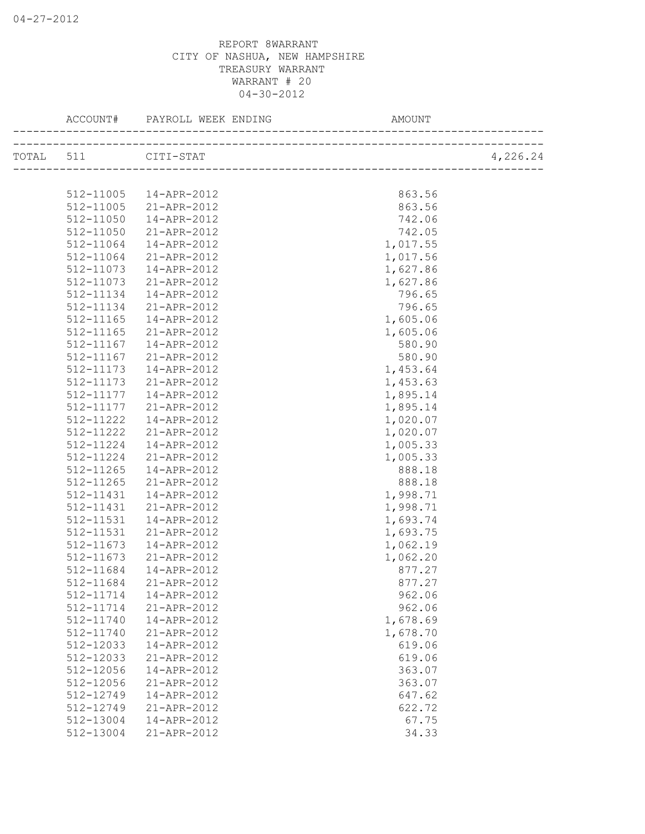| ACCOUNT#            | PAYROLL WEEK ENDING             | AMOUNT   |          |
|---------------------|---------------------------------|----------|----------|
| TOTAL 511 CITI-STAT |                                 |          | 4,226.24 |
|                     |                                 |          |          |
| 512-11005           | 14-APR-2012                     | 863.56   |          |
| 512-11005           | 21-APR-2012                     | 863.56   |          |
| 512-11050           | 14-APR-2012                     | 742.06   |          |
| 512-11050           | 21-APR-2012                     | 742.05   |          |
| 512-11064           | 14-APR-2012                     | 1,017.55 |          |
| 512-11064           | 21-APR-2012                     | 1,017.56 |          |
| 512-11073           | 14-APR-2012                     | 1,627.86 |          |
| 512-11073           | 21-APR-2012                     | 1,627.86 |          |
| 512-11134           | 14-APR-2012                     | 796.65   |          |
| 512-11134           | 21-APR-2012                     | 796.65   |          |
| 512-11165           | 14-APR-2012                     | 1,605.06 |          |
| 512-11165           | 21-APR-2012                     | 1,605.06 |          |
| 512-11167           | 14-APR-2012                     | 580.90   |          |
| 512-11167           | 21-APR-2012                     | 580.90   |          |
| 512-11173           | 14-APR-2012                     | 1,453.64 |          |
| 512-11173           | 21-APR-2012                     | 1,453.63 |          |
| 512-11177           | $14 - APR - 2012$               |          |          |
| 512-11177           |                                 | 1,895.14 |          |
|                     | 21-APR-2012                     | 1,895.14 |          |
| 512-11222           | 14-APR-2012                     | 1,020.07 |          |
| 512-11222           | 21-APR-2012                     | 1,020.07 |          |
| 512-11224           | 14-APR-2012                     | 1,005.33 |          |
| 512-11224           | 21-APR-2012                     | 1,005.33 |          |
| 512-11265           | 14-APR-2012                     | 888.18   |          |
| 512-11265           | 21-APR-2012                     | 888.18   |          |
| 512-11431           | 14-APR-2012                     | 1,998.71 |          |
| 512-11431           | 21-APR-2012                     | 1,998.71 |          |
| 512-11531           | 14-APR-2012                     | 1,693.74 |          |
| 512-11531           | 21-APR-2012                     | 1,693.75 |          |
| 512-11673           | 14-APR-2012                     | 1,062.19 |          |
| 512-11673           | 21-APR-2012                     | 1,062.20 |          |
| 512-11684           | 14-APR-2012                     | 877.27   |          |
|                     | $512 - 11684$ $21 - APR - 2012$ | 877.27   |          |
| 512-11714           | 14-APR-2012                     | 962.06   |          |
| 512-11714           | 21-APR-2012                     | 962.06   |          |
| 512-11740           | 14-APR-2012                     | 1,678.69 |          |
| 512-11740           | 21-APR-2012                     | 1,678.70 |          |
| 512-12033           | 14-APR-2012                     | 619.06   |          |
| 512-12033           | 21-APR-2012                     | 619.06   |          |
| 512-12056           | 14-APR-2012                     | 363.07   |          |
| 512-12056           | 21-APR-2012                     | 363.07   |          |
| 512-12749           | 14-APR-2012                     | 647.62   |          |
| 512-12749           | 21-APR-2012                     | 622.72   |          |
| 512-13004           | 14-APR-2012                     | 67.75    |          |
| 512-13004           | 21-APR-2012                     | 34.33    |          |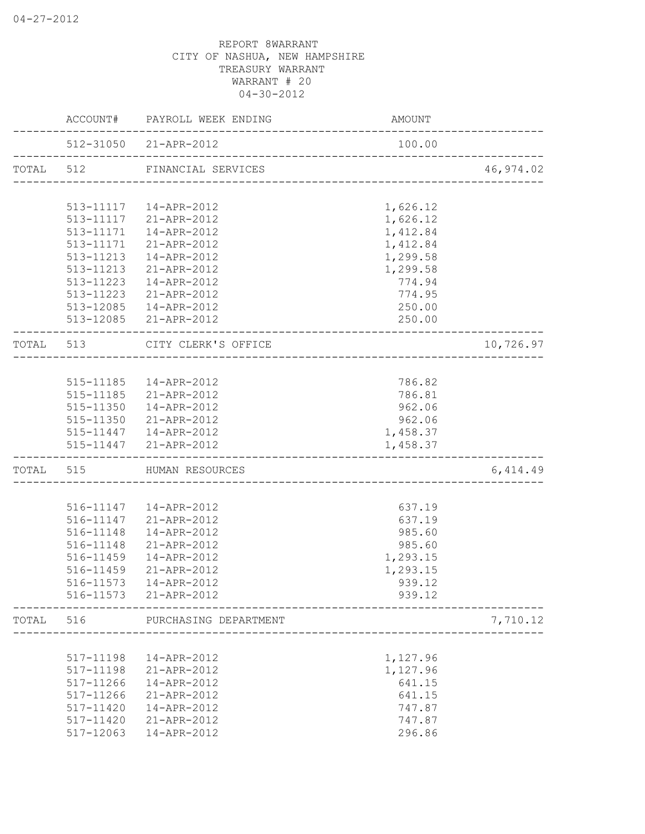|                         |           | ACCOUNT# PAYROLL WEEK ENDING                            | AMOUNT                              |           |
|-------------------------|-----------|---------------------------------------------------------|-------------------------------------|-----------|
|                         |           | 512-31050 21-APR-2012<br>------------------------------ | 100.00                              |           |
| TOTAL<br>TOTAL<br>TOTAL |           | TOTAL 512 FINANCIAL SERVICES                            | _______________________             | 46,974.02 |
|                         |           |                                                         |                                     |           |
|                         |           | 513-11117  14-APR-2012                                  | 1,626.12                            |           |
|                         |           | 513-11117 21-APR-2012                                   | 1,626.12                            |           |
|                         | 513-11171 | 14-APR-2012                                             | 1,412.84                            |           |
|                         | 513-11171 | 21-APR-2012                                             | 1,412.84                            |           |
|                         | 513-11213 | 14-APR-2012                                             | 1,299.58                            |           |
|                         | 513-11213 | 21-APR-2012                                             | 1,299.58                            |           |
|                         | 513-11223 | 14-APR-2012                                             | 774.94                              |           |
|                         | 513-11223 | 21-APR-2012                                             | 774.95                              |           |
|                         |           | 513-12085  14-APR-2012                                  | 250.00                              |           |
|                         |           | 513-12085 21-APR-2012                                   | 250.00                              |           |
|                         | 513       | CITY CLERK'S OFFICE                                     | ___________________________________ | 10,726.97 |
|                         |           |                                                         |                                     |           |
|                         |           | 515-11185  14-APR-2012                                  | 786.82                              |           |
|                         |           | 515-11185 21-APR-2012                                   | 786.81                              |           |
|                         |           | 515-11350  14-APR-2012                                  | 962.06                              |           |
|                         |           | 515-11350 21-APR-2012                                   | 962.06                              |           |
|                         |           | 515-11447   14-APR-2012                                 | 1,458.37                            |           |
|                         |           | 515-11447 21-APR-2012                                   | 1,458.37                            |           |
|                         | 515       | HUMAN RESOURCES                                         |                                     | 6,414.49  |
|                         |           |                                                         |                                     |           |
|                         |           | 516-11147   14-APR-2012                                 | 637.19                              |           |
|                         |           | 516-11147 21-APR-2012                                   | 637.19                              |           |
|                         |           | 516-11148  14-APR-2012                                  | 985.60                              |           |
|                         |           | 516-11148 21-APR-2012                                   | 985.60                              |           |
|                         |           | 516-11459  14-APR-2012                                  | 1,293.15                            |           |
|                         | 516-11459 | 21-APR-2012                                             | 1,293.15                            |           |
|                         | 516-11573 | 14-APR-2012                                             | 939.12                              |           |
|                         |           | 516-11573 21-APR-2012                                   | 939.12                              |           |
|                         | 516       | PURCHASING DEPARTMENT                                   |                                     | 7,710.12  |
|                         |           |                                                         |                                     |           |
|                         | 517-11198 | 14-APR-2012                                             | 1,127.96                            |           |
|                         | 517-11198 | 21-APR-2012                                             | 1,127.96                            |           |
|                         | 517-11266 | 14-APR-2012                                             | 641.15                              |           |
|                         | 517-11266 | 21-APR-2012                                             | 641.15                              |           |
|                         | 517-11420 | 14-APR-2012                                             | 747.87                              |           |
|                         | 517-11420 | 21-APR-2012                                             | 747.87                              |           |
|                         | 517-12063 | 14-APR-2012                                             | 296.86                              |           |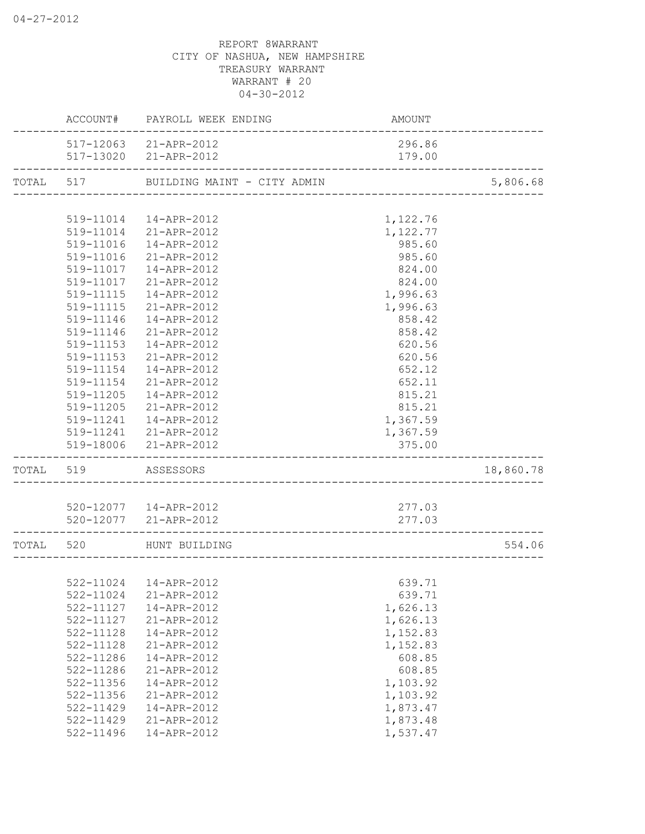|       |               | ACCOUNT# PAYROLL WEEK ENDING          | AMOUNT   |           |
|-------|---------------|---------------------------------------|----------|-----------|
|       |               | 517-12063 21-APR-2012                 | 296.86   |           |
|       |               | 517-13020 21-APR-2012                 | 179.00   |           |
|       |               | TOTAL 517 BUILDING MAINT - CITY ADMIN |          | 5,806.68  |
|       |               |                                       |          |           |
|       |               | 519-11014  14-APR-2012                | 1,122.76 |           |
|       |               | 519-11014 21-APR-2012                 | 1,122.77 |           |
|       | 519-11016     | 14-APR-2012                           | 985.60   |           |
|       | 519-11016     | 21-APR-2012                           | 985.60   |           |
|       | 519-11017     | 14-APR-2012                           | 824.00   |           |
|       | 519-11017     | 21-APR-2012                           | 824.00   |           |
|       | 519-11115     | 14-APR-2012                           | 1,996.63 |           |
|       | 519-11115     | 21-APR-2012                           | 1,996.63 |           |
|       | 519-11146     | 14-APR-2012                           | 858.42   |           |
|       | 519-11146     | 21-APR-2012                           | 858.42   |           |
|       | 519-11153     | 14-APR-2012                           | 620.56   |           |
|       | 519-11153     | 21-APR-2012                           | 620.56   |           |
|       | 519-11154     | 14-APR-2012                           | 652.12   |           |
|       |               | 519-11154 21-APR-2012                 | 652.11   |           |
|       |               | 519-11205  14-APR-2012                | 815.21   |           |
|       |               | 519-11205 21-APR-2012                 | 815.21   |           |
|       |               | 519-11241  14-APR-2012                | 1,367.59 |           |
|       |               | 519-11241 21-APR-2012                 | 1,367.59 |           |
|       |               | 519-18006 21-APR-2012                 | 375.00   |           |
| TOTAL | 519           | ASSESSORS                             |          | 18,860.78 |
|       |               |                                       |          |           |
|       |               | 520-12077  14-APR-2012                | 277.03   |           |
|       |               | 520-12077 21-APR-2012                 | 277.03   |           |
| TOTAL | 520           | HUNT BUILDING                         |          | 554.06    |
|       |               |                                       |          |           |
|       |               | 522-11024  14-APR-2012                | 639.71   |           |
|       | 522-11024     | 21-APR-2012                           | 639.71   |           |
|       | 522-11127     | 14-APR-2012                           | 1,626.13 |           |
|       | 522-11127     | 21-APR-2012                           | 1,626.13 |           |
|       | $522 - 11128$ | 14-APR-2012                           | 1,152.83 |           |
|       | 522-11128     | 21-APR-2012                           | 1,152.83 |           |
|       | 522-11286     | 14-APR-2012                           | 608.85   |           |
|       | 522-11286     | 21-APR-2012                           | 608.85   |           |
|       | 522-11356     | 14-APR-2012                           | 1,103.92 |           |
|       | 522-11356     | 21-APR-2012                           | 1,103.92 |           |
|       | 522-11429     | 14-APR-2012                           | 1,873.47 |           |
|       | 522-11429     | 21-APR-2012                           | 1,873.48 |           |
|       | 522-11496     | 14-APR-2012                           | 1,537.47 |           |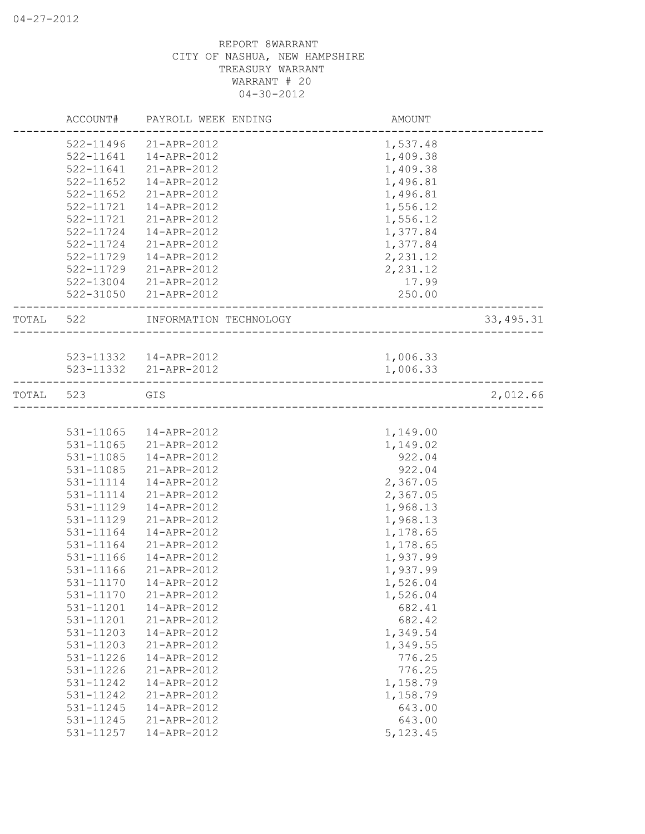|           |                           | ACCOUNT# PAYROLL WEEK ENDING                                    | AMOUNT    |            |
|-----------|---------------------------|-----------------------------------------------------------------|-----------|------------|
|           | 522-11496                 | 21-APR-2012                                                     | 1,537.48  |            |
|           | 522-11641                 | 14-APR-2012                                                     | 1,409.38  |            |
|           | 522-11641                 | 21-APR-2012                                                     | 1,409.38  |            |
|           | $522 - 11652$             | 14-APR-2012                                                     | 1,496.81  |            |
|           | $522 - 11652$             | 21-APR-2012                                                     | 1,496.81  |            |
|           | 522-11721                 | 14-APR-2012                                                     | 1,556.12  |            |
|           | 522-11721                 | 21-APR-2012                                                     | 1,556.12  |            |
|           | 522-11724                 | 14-APR-2012                                                     | 1,377.84  |            |
|           | 522-11724                 | 21-APR-2012                                                     | 1,377.84  |            |
|           | 522-11729                 | 14-APR-2012                                                     | 2,231.12  |            |
|           | 522-11729                 | 21-APR-2012                                                     | 2,231.12  |            |
|           | 522-13004                 | 21-APR-2012                                                     | 17.99     |            |
|           | . _ _ _ _ _ _ _ _ _ _ _ _ | 522-31050 21-APR-2012<br>______________________________________ | 250.00    |            |
|           |                           | TOTAL 522 INFORMATION TECHNOLOGY                                |           | 33, 495.31 |
|           |                           |                                                                 |           |            |
|           |                           | 523-11332  14-APR-2012                                          | 1,006.33  |            |
|           |                           | 523-11332 21-APR-2012                                           | 1,006.33  |            |
| TOTAL 523 |                           | GIS                                                             |           | 2,012.66   |
|           |                           |                                                                 |           |            |
|           | 531-11065                 | 14-APR-2012                                                     | 1,149.00  |            |
|           | 531-11065                 | 21-APR-2012                                                     | 1,149.02  |            |
|           | 531-11085                 | 14-APR-2012                                                     | 922.04    |            |
|           | 531-11085                 | 21-APR-2012                                                     | 922.04    |            |
|           | 531-11114                 | 14-APR-2012                                                     | 2,367.05  |            |
|           | 531-11114                 | 21-APR-2012                                                     | 2,367.05  |            |
|           | 531-11129                 | 14-APR-2012                                                     | 1,968.13  |            |
|           | 531-11129                 | 21-APR-2012                                                     | 1,968.13  |            |
|           | 531-11164                 | 14-APR-2012                                                     | 1,178.65  |            |
|           | 531-11164                 | 21-APR-2012                                                     | 1,178.65  |            |
|           | 531-11166                 | 14-APR-2012                                                     | 1,937.99  |            |
|           | 531-11166                 | 21-APR-2012                                                     | 1,937.99  |            |
|           | 531-11170                 | 14-APR-2012                                                     | 1,526.04  |            |
|           | 531-11170                 | 21-APR-2012                                                     | 1,526.04  |            |
|           | 531-11201                 | 14-APR-2012                                                     | 682.41    |            |
|           | 531-11201                 | 21-APR-2012                                                     | 682.42    |            |
|           | 531-11203                 | 14-APR-2012                                                     | 1,349.54  |            |
|           | 531-11203                 | 21-APR-2012                                                     | 1,349.55  |            |
|           | 531-11226                 | 14-APR-2012                                                     | 776.25    |            |
|           | 531-11226                 | 21-APR-2012                                                     | 776.25    |            |
|           | 531-11242                 | 14-APR-2012                                                     | 1,158.79  |            |
|           | 531-11242                 | 21-APR-2012                                                     | 1,158.79  |            |
|           | 531-11245                 | 14-APR-2012                                                     | 643.00    |            |
|           | 531-11245                 | 21-APR-2012                                                     | 643.00    |            |
|           | 531-11257                 | 14-APR-2012                                                     | 5, 123.45 |            |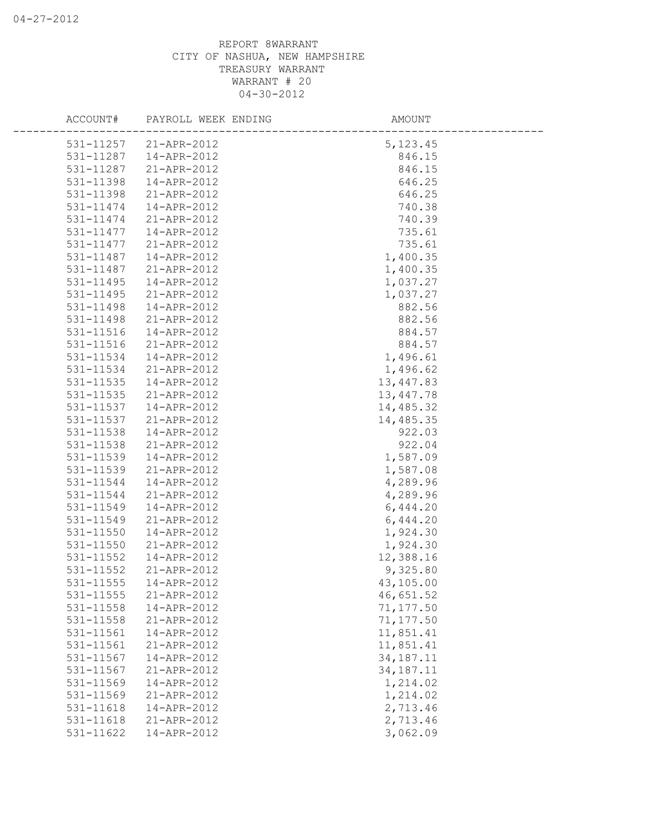|           | ACCOUNT# PAYROLL WEEK ENDING | AMOUNT      |  |
|-----------|------------------------------|-------------|--|
|           | 531-11257 21-APR-2012        | 5, 123.45   |  |
| 531-11287 | 14-APR-2012                  | 846.15      |  |
| 531-11287 | 21-APR-2012                  | 846.15      |  |
| 531-11398 | 14-APR-2012                  | 646.25      |  |
| 531-11398 | 21-APR-2012                  | 646.25      |  |
| 531-11474 | 14-APR-2012                  | 740.38      |  |
| 531-11474 | 21-APR-2012                  | 740.39      |  |
| 531-11477 | 14-APR-2012                  | 735.61      |  |
| 531-11477 | 21-APR-2012                  | 735.61      |  |
| 531-11487 | 14-APR-2012                  | 1,400.35    |  |
| 531-11487 | 21-APR-2012                  | 1,400.35    |  |
| 531-11495 | 14-APR-2012                  | 1,037.27    |  |
| 531-11495 | 21-APR-2012                  | 1,037.27    |  |
| 531-11498 | 14-APR-2012                  | 882.56      |  |
| 531-11498 | 21-APR-2012                  | 882.56      |  |
| 531-11516 | 14-APR-2012                  | 884.57      |  |
| 531-11516 | 21-APR-2012                  | 884.57      |  |
| 531-11534 | 14-APR-2012                  | 1,496.61    |  |
| 531-11534 | 21-APR-2012                  | 1,496.62    |  |
| 531-11535 | 14-APR-2012                  | 13,447.83   |  |
| 531-11535 | 21-APR-2012                  | 13,447.78   |  |
| 531-11537 | 14-APR-2012                  | 14,485.32   |  |
| 531-11537 | 21-APR-2012                  | 14,485.35   |  |
| 531-11538 | 14-APR-2012                  | 922.03      |  |
| 531-11538 | 21-APR-2012                  | 922.04      |  |
| 531-11539 | 14-APR-2012                  | 1,587.09    |  |
| 531-11539 | 21-APR-2012                  | 1,587.08    |  |
| 531-11544 | 14-APR-2012                  | 4,289.96    |  |
| 531-11544 | 21-APR-2012                  | 4,289.96    |  |
| 531-11549 | 14-APR-2012                  | 6,444.20    |  |
| 531-11549 | 21-APR-2012                  | 6,444.20    |  |
| 531-11550 | 14-APR-2012                  | 1,924.30    |  |
| 531-11550 | 21-APR-2012                  | 1,924.30    |  |
| 531-11552 | 14-APR-2012                  | 12,388.16   |  |
| 531-11552 | 21-APR-2012                  | 9,325.80    |  |
| 531-11555 | 14-APR-2012                  | 43,105.00   |  |
| 531-11555 | 21-APR-2012                  | 46,651.52   |  |
| 531-11558 | 14-APR-2012                  | 71,177.50   |  |
| 531-11558 | 21-APR-2012                  | 71,177.50   |  |
| 531-11561 | 14-APR-2012                  | 11,851.41   |  |
| 531-11561 | 21-APR-2012                  | 11,851.41   |  |
| 531-11567 | 14-APR-2012                  | 34, 187. 11 |  |
| 531-11567 | 21-APR-2012                  | 34, 187. 11 |  |
| 531-11569 | 14-APR-2012                  | 1,214.02    |  |
| 531-11569 | 21-APR-2012                  | 1,214.02    |  |
| 531-11618 | 14-APR-2012                  | 2,713.46    |  |
| 531-11618 | 21-APR-2012                  | 2,713.46    |  |
| 531-11622 | 14-APR-2012                  | 3,062.09    |  |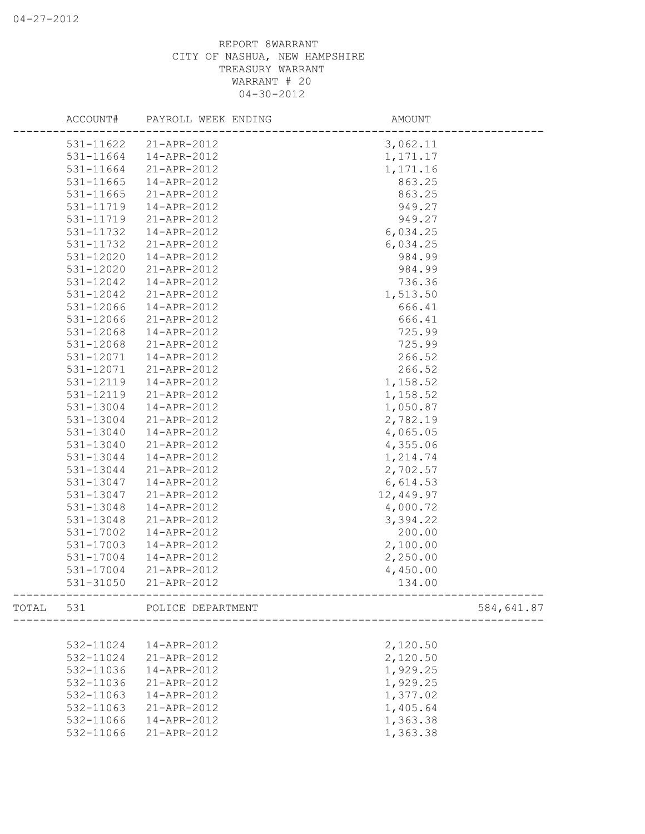|       | ACCOUNT#  | PAYROLL WEEK ENDING   | AMOUNT     |            |
|-------|-----------|-----------------------|------------|------------|
|       |           | 531-11622 21-APR-2012 | 3,062.11   |            |
|       | 531-11664 | 14-APR-2012           | 1, 171. 17 |            |
|       | 531-11664 | 21-APR-2012           | 1,171.16   |            |
|       | 531-11665 | 14-APR-2012           | 863.25     |            |
|       | 531-11665 | 21-APR-2012           | 863.25     |            |
|       | 531-11719 | 14-APR-2012           | 949.27     |            |
|       | 531-11719 | 21-APR-2012           | 949.27     |            |
|       | 531-11732 | 14-APR-2012           | 6,034.25   |            |
|       | 531-11732 | 21-APR-2012           | 6,034.25   |            |
|       | 531-12020 | 14-APR-2012           | 984.99     |            |
|       | 531-12020 | 21-APR-2012           | 984.99     |            |
|       | 531-12042 | 14-APR-2012           | 736.36     |            |
|       | 531-12042 | 21-APR-2012           | 1,513.50   |            |
|       | 531-12066 | 14-APR-2012           | 666.41     |            |
|       | 531-12066 | 21-APR-2012           | 666.41     |            |
|       | 531-12068 | 14-APR-2012           | 725.99     |            |
|       | 531-12068 | 21-APR-2012           | 725.99     |            |
|       | 531-12071 | 14-APR-2012           | 266.52     |            |
|       | 531-12071 | 21-APR-2012           | 266.52     |            |
|       | 531-12119 | 14-APR-2012           | 1,158.52   |            |
|       | 531-12119 | 21-APR-2012           | 1,158.52   |            |
|       | 531-13004 | 14-APR-2012           | 1,050.87   |            |
|       | 531-13004 | 21-APR-2012           | 2,782.19   |            |
|       | 531-13040 | 14-APR-2012           | 4,065.05   |            |
|       | 531-13040 | 21-APR-2012           | 4,355.06   |            |
|       | 531-13044 | 14-APR-2012           | 1,214.74   |            |
|       | 531-13044 | 21-APR-2012           | 2,702.57   |            |
|       | 531-13047 | 14-APR-2012           | 6,614.53   |            |
|       | 531-13047 | 21-APR-2012           | 12,449.97  |            |
|       | 531-13048 | 14-APR-2012           | 4,000.72   |            |
|       | 531-13048 | 21-APR-2012           | 3,394.22   |            |
|       | 531-17002 | 14-APR-2012           | 200.00     |            |
|       | 531-17003 | 14-APR-2012           | 2,100.00   |            |
|       | 531-17004 | 14-APR-2012           | 2,250.00   |            |
|       | 531-17004 | 21-APR-2012           | 4,450.00   |            |
|       | 531-31050 | 21-APR-2012           | 134.00     |            |
| TOTAL | 531       | POLICE DEPARTMENT     |            | 584,641.87 |
|       |           |                       |            |            |
|       | 532-11024 | 14-APR-2012           | 2,120.50   |            |
|       | 532-11024 | 21-APR-2012           | 2,120.50   |            |
|       | 532-11036 | 14-APR-2012           | 1,929.25   |            |
|       | 532-11036 | 21-APR-2012           | 1,929.25   |            |
|       | 532-11063 | 14-APR-2012           | 1,377.02   |            |
|       | 532-11063 | 21-APR-2012           | 1,405.64   |            |
|       | 532-11066 | 14-APR-2012           | 1,363.38   |            |
|       | 532-11066 | 21-APR-2012           | 1,363.38   |            |
|       |           |                       |            |            |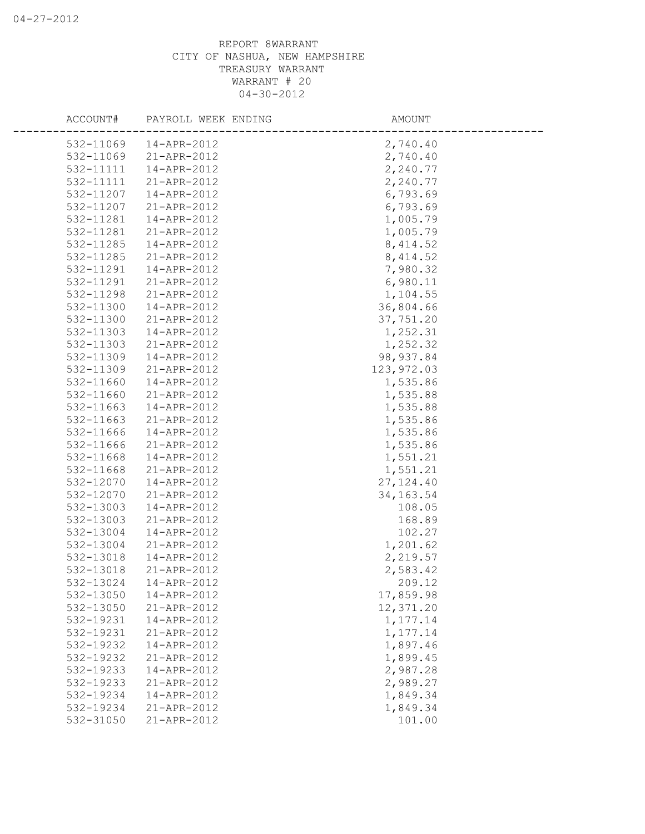| ACCOUNT#  | PAYROLL WEEK ENDING | AMOUNT     |  |
|-----------|---------------------|------------|--|
| 532-11069 | 14-APR-2012         | 2,740.40   |  |
| 532-11069 | 21-APR-2012         | 2,740.40   |  |
| 532-11111 | 14-APR-2012         | 2,240.77   |  |
| 532-11111 | 21-APR-2012         | 2,240.77   |  |
| 532-11207 | 14-APR-2012         | 6,793.69   |  |
| 532-11207 | 21-APR-2012         | 6,793.69   |  |
| 532-11281 | 14-APR-2012         | 1,005.79   |  |
| 532-11281 | 21-APR-2012         | 1,005.79   |  |
| 532-11285 | 14-APR-2012         | 8,414.52   |  |
| 532-11285 | 21-APR-2012         | 8,414.52   |  |
| 532-11291 | 14-APR-2012         | 7,980.32   |  |
| 532-11291 | 21-APR-2012         | 6,980.11   |  |
| 532-11298 | 21-APR-2012         | 1,104.55   |  |
| 532-11300 | 14-APR-2012         | 36,804.66  |  |
| 532-11300 | 21-APR-2012         | 37,751.20  |  |
| 532-11303 | 14-APR-2012         | 1,252.31   |  |
| 532-11303 | 21-APR-2012         | 1,252.32   |  |
| 532-11309 | 14-APR-2012         | 98, 937.84 |  |
| 532-11309 | 21-APR-2012         | 123,972.03 |  |
| 532-11660 | 14-APR-2012         | 1,535.86   |  |
| 532-11660 | 21-APR-2012         | 1,535.88   |  |
| 532-11663 | 14-APR-2012         | 1,535.88   |  |
| 532-11663 | 21-APR-2012         | 1,535.86   |  |
| 532-11666 | 14-APR-2012         | 1,535.86   |  |
| 532-11666 | 21-APR-2012         | 1,535.86   |  |
| 532-11668 | 14-APR-2012         | 1,551.21   |  |
| 532-11668 | 21-APR-2012         | 1,551.21   |  |
| 532-12070 | 14-APR-2012         | 27, 124.40 |  |
| 532-12070 | 21-APR-2012         | 34, 163.54 |  |
| 532-13003 | 14-APR-2012         | 108.05     |  |
| 532-13003 | 21-APR-2012         | 168.89     |  |
| 532-13004 | 14-APR-2012         | 102.27     |  |
| 532-13004 | 21-APR-2012         | 1,201.62   |  |
| 532-13018 | 14-APR-2012         | 2,219.57   |  |
| 532-13018 | 21-APR-2012         | 2,583.42   |  |
| 532-13024 | 14-APR-2012         | 209.12     |  |
| 532-13050 | 14-APR-2012         | 17,859.98  |  |
| 532-13050 | 21-APR-2012         | 12,371.20  |  |
| 532-19231 | 14-APR-2012         | 1,177.14   |  |
| 532-19231 | 21-APR-2012         | 1,177.14   |  |
| 532-19232 | 14-APR-2012         | 1,897.46   |  |
| 532-19232 | 21-APR-2012         | 1,899.45   |  |
| 532-19233 | 14-APR-2012         | 2,987.28   |  |
| 532-19233 | 21-APR-2012         | 2,989.27   |  |
| 532-19234 | 14-APR-2012         | 1,849.34   |  |
| 532-19234 | 21-APR-2012         | 1,849.34   |  |
| 532-31050 | 21-APR-2012         | 101.00     |  |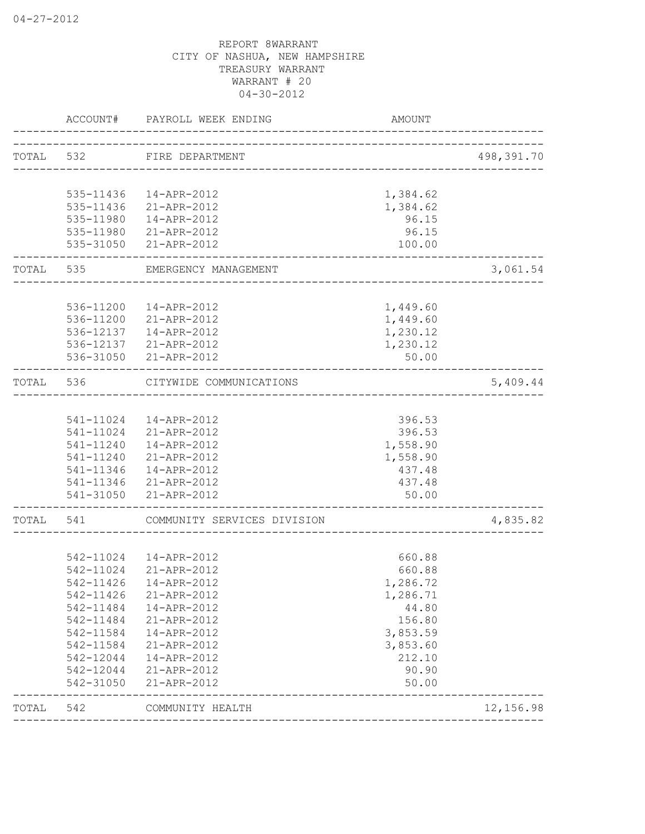| TOTAL 532 FIRE DEPARTMENT<br>_____________________<br>1,384.62<br>535-11436  14-APR-2012<br>535-11436<br>21-APR-2012<br>1,384.62<br>96.15<br>535-11980<br>14-APR-2012<br>96.15<br>535-11980 21-APR-2012<br>535-31050 21-APR-2012<br>100.00<br>TOTAL<br>535<br>EMERGENCY MANAGEMENT<br>___________________<br>536-11200  14-APR-2012<br>1,449.60<br>536-11200 21-APR-2012<br>1,449.60<br>536-12137  14-APR-2012<br>1,230.12<br>1,230.12<br>536-12137 21-APR-2012<br>536-31050 21-APR-2012<br>50.00<br>TOTAL<br>536<br>CITYWIDE COMMUNICATIONS<br>-------------------<br>541-11024  14-APR-2012<br>396.53<br>541-11024 21-APR-2012<br>396.53<br>541-11240  14-APR-2012<br>1,558.90<br>541-11240 21-APR-2012<br>1,558.90<br>541-11346  14-APR-2012<br>437.48<br>541-11346 21-APR-2012<br>437.48<br>541-31050 21-APR-2012<br>50.00<br>TOTAL<br>COMMUNITY SERVICES DIVISION<br>541<br>542-11024  14-APR-2012<br>660.88<br>542-11024 21-APR-2012<br>660.88<br>542-11426<br>14-APR-2012<br>1,286.72<br>542-11426<br>21-APR-2012<br>1,286.71<br>542-11484<br>14-APR-2012<br>44.80<br>156.80<br>542-11484<br>21-APR-2012<br>542-11584<br>3,853.59<br>14-APR-2012<br>542-11584<br>3,853.60<br>21-APR-2012<br>542-12044<br>212.10<br>14-APR-2012<br>542-12044<br>90.90<br>21-APR-2012<br>542-31050<br>21-APR-2012<br>50.00 | ACCOUNT# | PAYROLL WEEK ENDING | <b>AMOUNT</b> |            |
|-----------------------------------------------------------------------------------------------------------------------------------------------------------------------------------------------------------------------------------------------------------------------------------------------------------------------------------------------------------------------------------------------------------------------------------------------------------------------------------------------------------------------------------------------------------------------------------------------------------------------------------------------------------------------------------------------------------------------------------------------------------------------------------------------------------------------------------------------------------------------------------------------------------------------------------------------------------------------------------------------------------------------------------------------------------------------------------------------------------------------------------------------------------------------------------------------------------------------------------------------------------------------------------------------------------------|----------|---------------------|---------------|------------|
|                                                                                                                                                                                                                                                                                                                                                                                                                                                                                                                                                                                                                                                                                                                                                                                                                                                                                                                                                                                                                                                                                                                                                                                                                                                                                                                 |          |                     |               | 498,391.70 |
|                                                                                                                                                                                                                                                                                                                                                                                                                                                                                                                                                                                                                                                                                                                                                                                                                                                                                                                                                                                                                                                                                                                                                                                                                                                                                                                 |          |                     |               |            |
|                                                                                                                                                                                                                                                                                                                                                                                                                                                                                                                                                                                                                                                                                                                                                                                                                                                                                                                                                                                                                                                                                                                                                                                                                                                                                                                 |          |                     |               |            |
|                                                                                                                                                                                                                                                                                                                                                                                                                                                                                                                                                                                                                                                                                                                                                                                                                                                                                                                                                                                                                                                                                                                                                                                                                                                                                                                 |          |                     |               |            |
|                                                                                                                                                                                                                                                                                                                                                                                                                                                                                                                                                                                                                                                                                                                                                                                                                                                                                                                                                                                                                                                                                                                                                                                                                                                                                                                 |          |                     |               |            |
|                                                                                                                                                                                                                                                                                                                                                                                                                                                                                                                                                                                                                                                                                                                                                                                                                                                                                                                                                                                                                                                                                                                                                                                                                                                                                                                 |          |                     |               |            |
|                                                                                                                                                                                                                                                                                                                                                                                                                                                                                                                                                                                                                                                                                                                                                                                                                                                                                                                                                                                                                                                                                                                                                                                                                                                                                                                 |          |                     |               | 3,061.54   |
|                                                                                                                                                                                                                                                                                                                                                                                                                                                                                                                                                                                                                                                                                                                                                                                                                                                                                                                                                                                                                                                                                                                                                                                                                                                                                                                 |          |                     |               |            |
|                                                                                                                                                                                                                                                                                                                                                                                                                                                                                                                                                                                                                                                                                                                                                                                                                                                                                                                                                                                                                                                                                                                                                                                                                                                                                                                 |          |                     |               |            |
|                                                                                                                                                                                                                                                                                                                                                                                                                                                                                                                                                                                                                                                                                                                                                                                                                                                                                                                                                                                                                                                                                                                                                                                                                                                                                                                 |          |                     |               |            |
|                                                                                                                                                                                                                                                                                                                                                                                                                                                                                                                                                                                                                                                                                                                                                                                                                                                                                                                                                                                                                                                                                                                                                                                                                                                                                                                 |          |                     |               |            |
|                                                                                                                                                                                                                                                                                                                                                                                                                                                                                                                                                                                                                                                                                                                                                                                                                                                                                                                                                                                                                                                                                                                                                                                                                                                                                                                 |          |                     |               |            |
|                                                                                                                                                                                                                                                                                                                                                                                                                                                                                                                                                                                                                                                                                                                                                                                                                                                                                                                                                                                                                                                                                                                                                                                                                                                                                                                 |          |                     |               |            |
|                                                                                                                                                                                                                                                                                                                                                                                                                                                                                                                                                                                                                                                                                                                                                                                                                                                                                                                                                                                                                                                                                                                                                                                                                                                                                                                 |          |                     |               | 5,409.44   |
|                                                                                                                                                                                                                                                                                                                                                                                                                                                                                                                                                                                                                                                                                                                                                                                                                                                                                                                                                                                                                                                                                                                                                                                                                                                                                                                 |          |                     |               |            |
|                                                                                                                                                                                                                                                                                                                                                                                                                                                                                                                                                                                                                                                                                                                                                                                                                                                                                                                                                                                                                                                                                                                                                                                                                                                                                                                 |          |                     |               |            |
|                                                                                                                                                                                                                                                                                                                                                                                                                                                                                                                                                                                                                                                                                                                                                                                                                                                                                                                                                                                                                                                                                                                                                                                                                                                                                                                 |          |                     |               |            |
|                                                                                                                                                                                                                                                                                                                                                                                                                                                                                                                                                                                                                                                                                                                                                                                                                                                                                                                                                                                                                                                                                                                                                                                                                                                                                                                 |          |                     |               |            |
|                                                                                                                                                                                                                                                                                                                                                                                                                                                                                                                                                                                                                                                                                                                                                                                                                                                                                                                                                                                                                                                                                                                                                                                                                                                                                                                 |          |                     |               |            |
|                                                                                                                                                                                                                                                                                                                                                                                                                                                                                                                                                                                                                                                                                                                                                                                                                                                                                                                                                                                                                                                                                                                                                                                                                                                                                                                 |          |                     |               |            |
|                                                                                                                                                                                                                                                                                                                                                                                                                                                                                                                                                                                                                                                                                                                                                                                                                                                                                                                                                                                                                                                                                                                                                                                                                                                                                                                 |          |                     |               |            |
|                                                                                                                                                                                                                                                                                                                                                                                                                                                                                                                                                                                                                                                                                                                                                                                                                                                                                                                                                                                                                                                                                                                                                                                                                                                                                                                 |          |                     |               |            |
|                                                                                                                                                                                                                                                                                                                                                                                                                                                                                                                                                                                                                                                                                                                                                                                                                                                                                                                                                                                                                                                                                                                                                                                                                                                                                                                 |          |                     |               | 4,835.82   |
|                                                                                                                                                                                                                                                                                                                                                                                                                                                                                                                                                                                                                                                                                                                                                                                                                                                                                                                                                                                                                                                                                                                                                                                                                                                                                                                 |          |                     |               |            |
|                                                                                                                                                                                                                                                                                                                                                                                                                                                                                                                                                                                                                                                                                                                                                                                                                                                                                                                                                                                                                                                                                                                                                                                                                                                                                                                 |          |                     |               |            |
|                                                                                                                                                                                                                                                                                                                                                                                                                                                                                                                                                                                                                                                                                                                                                                                                                                                                                                                                                                                                                                                                                                                                                                                                                                                                                                                 |          |                     |               |            |
|                                                                                                                                                                                                                                                                                                                                                                                                                                                                                                                                                                                                                                                                                                                                                                                                                                                                                                                                                                                                                                                                                                                                                                                                                                                                                                                 |          |                     |               |            |
|                                                                                                                                                                                                                                                                                                                                                                                                                                                                                                                                                                                                                                                                                                                                                                                                                                                                                                                                                                                                                                                                                                                                                                                                                                                                                                                 |          |                     |               |            |
|                                                                                                                                                                                                                                                                                                                                                                                                                                                                                                                                                                                                                                                                                                                                                                                                                                                                                                                                                                                                                                                                                                                                                                                                                                                                                                                 |          |                     |               |            |
|                                                                                                                                                                                                                                                                                                                                                                                                                                                                                                                                                                                                                                                                                                                                                                                                                                                                                                                                                                                                                                                                                                                                                                                                                                                                                                                 |          |                     |               |            |
|                                                                                                                                                                                                                                                                                                                                                                                                                                                                                                                                                                                                                                                                                                                                                                                                                                                                                                                                                                                                                                                                                                                                                                                                                                                                                                                 |          |                     |               |            |
|                                                                                                                                                                                                                                                                                                                                                                                                                                                                                                                                                                                                                                                                                                                                                                                                                                                                                                                                                                                                                                                                                                                                                                                                                                                                                                                 |          |                     |               |            |
|                                                                                                                                                                                                                                                                                                                                                                                                                                                                                                                                                                                                                                                                                                                                                                                                                                                                                                                                                                                                                                                                                                                                                                                                                                                                                                                 |          |                     |               |            |
|                                                                                                                                                                                                                                                                                                                                                                                                                                                                                                                                                                                                                                                                                                                                                                                                                                                                                                                                                                                                                                                                                                                                                                                                                                                                                                                 |          |                     |               |            |
|                                                                                                                                                                                                                                                                                                                                                                                                                                                                                                                                                                                                                                                                                                                                                                                                                                                                                                                                                                                                                                                                                                                                                                                                                                                                                                                 |          |                     |               |            |
| TOTAL<br>542<br>COMMUNITY HEALTH<br>__________________                                                                                                                                                                                                                                                                                                                                                                                                                                                                                                                                                                                                                                                                                                                                                                                                                                                                                                                                                                                                                                                                                                                                                                                                                                                          |          |                     |               | 12,156.98  |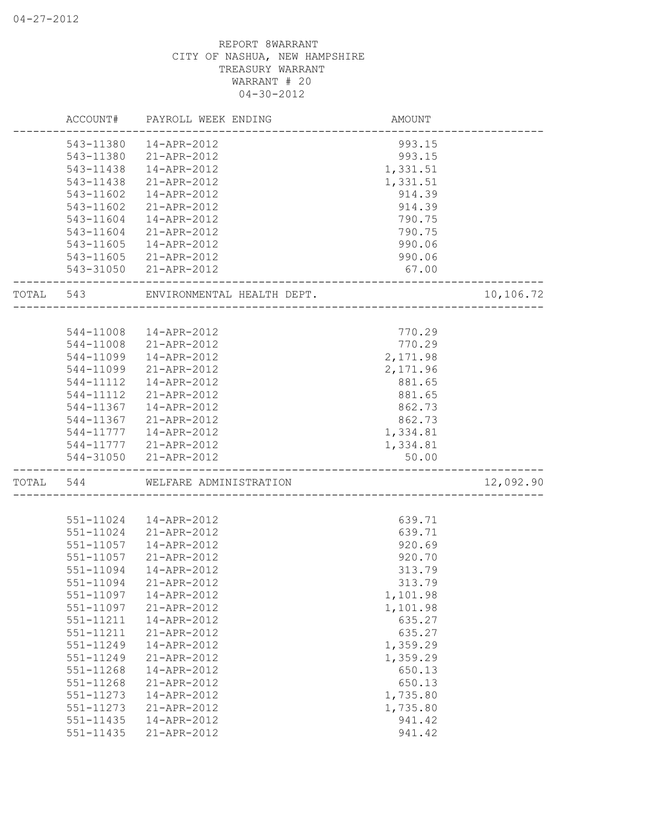|           |           | ACCOUNT# PAYROLL WEEK ENDING | AMOUNT                               |           |
|-----------|-----------|------------------------------|--------------------------------------|-----------|
|           | 543-11380 | 14-APR-2012                  | 993.15                               |           |
|           | 543-11380 | 21-APR-2012                  | 993.15                               |           |
|           | 543-11438 | 14-APR-2012                  | 1,331.51                             |           |
|           | 543-11438 | 21-APR-2012                  | 1,331.51                             |           |
|           | 543-11602 | 14-APR-2012                  | 914.39                               |           |
|           | 543-11602 | 21-APR-2012                  | 914.39                               |           |
|           | 543-11604 | 14-APR-2012                  | 790.75                               |           |
|           | 543-11604 | 21-APR-2012                  | 790.75                               |           |
|           | 543-11605 | 14-APR-2012                  | 990.06                               |           |
|           | 543-11605 | 21-APR-2012                  | 990.06                               |           |
|           |           | 543-31050 21-APR-2012        | 67.00                                |           |
| TOTAL 543 |           | ENVIRONMENTAL HEALTH DEPT.   | ____________________________________ | 10,106.72 |
|           |           |                              |                                      |           |
|           |           | 544-11008  14-APR-2012       | 770.29                               |           |
|           |           | 544-11008 21-APR-2012        | 770.29                               |           |
|           | 544-11099 | 14-APR-2012                  | 2,171.98                             |           |
|           | 544-11099 | 21-APR-2012                  | 2,171.96                             |           |
|           | 544-11112 | 14-APR-2012                  | 881.65                               |           |
|           | 544-11112 | 21-APR-2012                  | 881.65                               |           |
|           |           | 544-11367  14-APR-2012       | 862.73                               |           |
|           |           | 544-11367 21-APR-2012        | 862.73                               |           |
|           |           | 544-11777   14-APR-2012      | 1,334.81                             |           |
|           |           | 544-11777 21-APR-2012        | 1,334.81                             |           |
|           |           | 544-31050 21-APR-2012        | 50.00                                |           |
| TOTAL     | 544       | WELFARE ADMINISTRATION       |                                      | 12,092.90 |
|           |           |                              |                                      |           |
|           | 551-11024 | 14-APR-2012                  | 639.71                               |           |
|           | 551-11024 | 21-APR-2012                  | 639.71                               |           |
|           | 551-11057 | 14-APR-2012                  | 920.69                               |           |
|           | 551-11057 | 21-APR-2012                  | 920.70                               |           |
|           | 551-11094 | 14-APR-2012                  | 313.79                               |           |
|           | 551-11094 | 21-APR-2012                  | 313.79                               |           |
|           | 551-11097 | 14-APR-2012                  | 1,101.98                             |           |
|           | 551-11097 | 21-APR-2012                  | 1,101.98                             |           |
|           | 551-11211 | 14-APR-2012                  | 635.27                               |           |
|           | 551-11211 | 21-APR-2012                  | 635.27                               |           |
|           | 551-11249 | 14-APR-2012                  | 1,359.29                             |           |
|           | 551-11249 | 21-APR-2012                  | 1,359.29                             |           |
|           | 551-11268 | 14-APR-2012                  | 650.13                               |           |
|           | 551-11268 | 21-APR-2012                  | 650.13                               |           |
|           | 551-11273 | 14-APR-2012                  | 1,735.80                             |           |
|           | 551-11273 | 21-APR-2012                  | 1,735.80                             |           |
|           | 551-11435 | 14-APR-2012                  | 941.42                               |           |
|           | 551-11435 | 21-APR-2012                  | 941.42                               |           |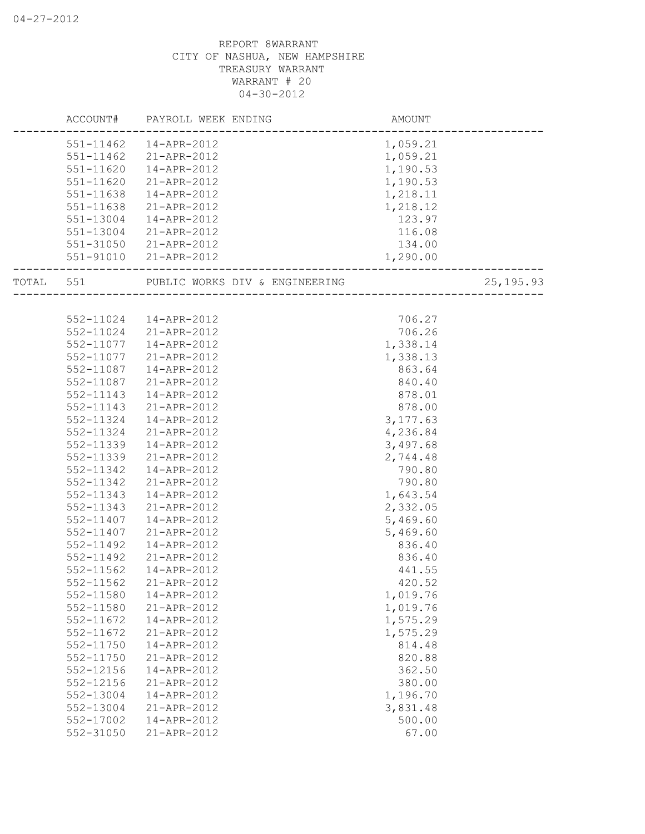|           | ACCOUNT# PAYROLL WEEK ENDING   | AMOUNT    |            |
|-----------|--------------------------------|-----------|------------|
| 551-11462 | 14-APR-2012                    | 1,059.21  |            |
| 551-11462 | 21-APR-2012                    | 1,059.21  |            |
| 551-11620 | 14-APR-2012                    | 1,190.53  |            |
| 551-11620 | 21-APR-2012                    | 1,190.53  |            |
| 551-11638 | 14-APR-2012                    | 1,218.11  |            |
| 551-11638 | 21-APR-2012                    | 1,218.12  |            |
| 551-13004 | 14-APR-2012                    | 123.97    |            |
| 551-13004 | 21-APR-2012                    | 116.08    |            |
| 551-31050 | 21-APR-2012                    | 134.00    |            |
| 551-91010 | 21-APR-2012                    | 1,290.00  |            |
| TOTAL 551 | PUBLIC WORKS DIV & ENGINEERING |           | 25, 195.93 |
|           |                                |           |            |
|           | 552-11024  14-APR-2012         | 706.27    |            |
|           | 552-11024 21-APR-2012          | 706.26    |            |
| 552-11077 | 14-APR-2012                    | 1,338.14  |            |
| 552-11077 | 21-APR-2012                    | 1,338.13  |            |
| 552-11087 | 14-APR-2012                    | 863.64    |            |
| 552-11087 | 21-APR-2012                    | 840.40    |            |
| 552-11143 | 14-APR-2012                    | 878.01    |            |
| 552-11143 | 21-APR-2012                    | 878.00    |            |
| 552-11324 | 14-APR-2012                    | 3, 177.63 |            |
| 552-11324 | 21-APR-2012                    | 4,236.84  |            |
| 552-11339 | 14-APR-2012                    | 3,497.68  |            |
| 552-11339 | 21-APR-2012                    | 2,744.48  |            |
| 552-11342 | 14-APR-2012                    | 790.80    |            |
| 552-11342 | 21-APR-2012                    | 790.80    |            |
| 552-11343 | 14-APR-2012                    | 1,643.54  |            |
| 552-11343 | 21-APR-2012                    | 2,332.05  |            |
| 552-11407 | 14-APR-2012                    | 5,469.60  |            |
| 552-11407 | 21-APR-2012                    | 5,469.60  |            |
| 552-11492 | 14-APR-2012                    | 836.40    |            |
| 552-11492 | 21-APR-2012                    | 836.40    |            |
| 552-11562 | 14-APR-2012                    | 441.55    |            |
| 552-11562 | 21-APR-2012                    | 420.52    |            |
| 552-11580 | 14-APR-2012                    | 1,019.76  |            |
| 552-11580 | 21-APR-2012                    | 1,019.76  |            |
| 552-11672 | 14-APR-2012                    | 1,575.29  |            |
| 552-11672 | 21-APR-2012                    | 1,575.29  |            |
| 552-11750 | 14-APR-2012                    | 814.48    |            |
| 552-11750 | 21-APR-2012                    | 820.88    |            |
| 552-12156 | 14-APR-2012                    | 362.50    |            |
| 552-12156 | 21-APR-2012                    | 380.00    |            |
| 552-13004 | 14-APR-2012                    | 1,196.70  |            |
| 552-13004 | 21-APR-2012                    | 3,831.48  |            |
| 552-17002 | 14-APR-2012                    | 500.00    |            |
| 552-31050 | 21-APR-2012                    | 67.00     |            |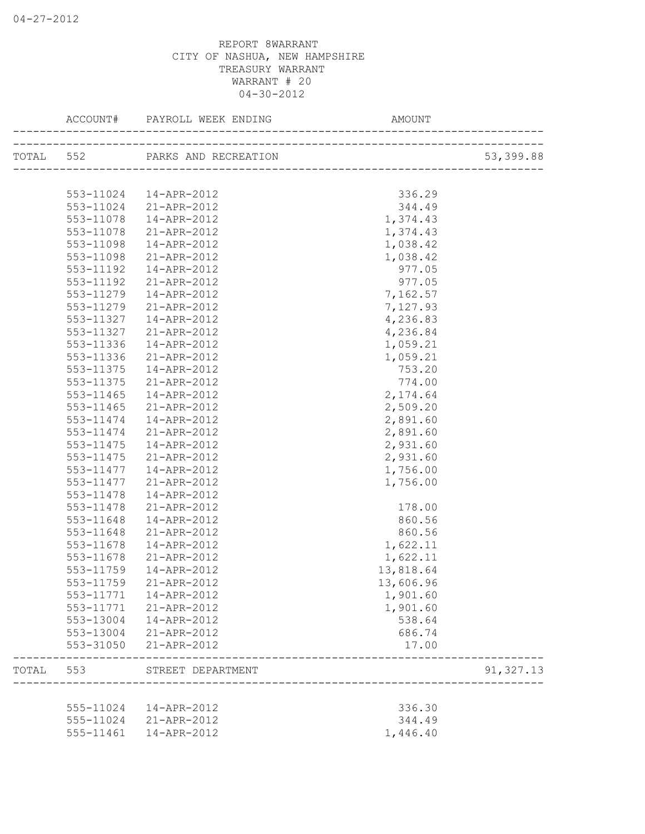|       | ACCOUNT#  | PAYROLL WEEK ENDING            | AMOUNT                    |            |
|-------|-----------|--------------------------------|---------------------------|------------|
|       |           | TOTAL 552 PARKS AND RECREATION |                           | 53,399.88  |
|       |           |                                | _________________________ |            |
|       | 553-11024 | 14-APR-2012                    | 336.29                    |            |
|       | 553-11024 | 21-APR-2012                    | 344.49                    |            |
|       | 553-11078 | 14-APR-2012                    | 1,374.43                  |            |
|       | 553-11078 | 21-APR-2012                    | 1,374.43                  |            |
|       | 553-11098 | 14-APR-2012                    | 1,038.42                  |            |
|       | 553-11098 | 21-APR-2012                    | 1,038.42                  |            |
|       | 553-11192 | 14-APR-2012                    | 977.05                    |            |
|       | 553-11192 | 21-APR-2012                    | 977.05                    |            |
|       | 553-11279 | 14-APR-2012                    | 7,162.57                  |            |
|       | 553-11279 | 21-APR-2012                    | 7,127.93                  |            |
|       | 553-11327 | 14-APR-2012                    | 4,236.83                  |            |
|       | 553-11327 | 21-APR-2012                    | 4,236.84                  |            |
|       | 553-11336 | 14-APR-2012                    | 1,059.21                  |            |
|       | 553-11336 | 21-APR-2012                    | 1,059.21                  |            |
|       | 553-11375 | 14-APR-2012                    | 753.20                    |            |
|       | 553-11375 | 21-APR-2012                    | 774.00                    |            |
|       | 553-11465 | 14-APR-2012                    | 2,174.64                  |            |
|       | 553-11465 | 21-APR-2012                    | 2,509.20                  |            |
|       |           | 14-APR-2012                    | 2,891.60                  |            |
|       | 553-11474 |                                |                           |            |
|       | 553-11474 | 21-APR-2012                    | 2,891.60                  |            |
|       | 553-11475 | 14-APR-2012                    | 2,931.60                  |            |
|       | 553-11475 | 21-APR-2012                    | 2,931.60                  |            |
|       | 553-11477 | 14-APR-2012                    | 1,756.00                  |            |
|       | 553-11477 | 21-APR-2012                    | 1,756.00                  |            |
|       | 553-11478 | 14-APR-2012                    |                           |            |
|       | 553-11478 | 21-APR-2012                    | 178.00                    |            |
|       | 553-11648 | 14-APR-2012                    | 860.56                    |            |
|       | 553-11648 | 21-APR-2012                    | 860.56                    |            |
|       | 553-11678 | 14-APR-2012                    | 1,622.11                  |            |
|       | 553-11678 | 21-APR-2012                    | 1,622.11                  |            |
|       | 553-11759 | 14-APR-2012                    | 13,818.64                 |            |
|       | 553-11759 | 21-APR-2012                    | 13,606.96                 |            |
|       | 553-11771 | 14-APR-2012                    | 1,901.60                  |            |
|       | 553-11771 | 21-APR-2012                    | 1,901.60                  |            |
|       | 553-13004 | 14-APR-2012                    | 538.64                    |            |
|       | 553-13004 | 21-APR-2012                    | 686.74                    |            |
|       | 553-31050 | 21-APR-2012                    | 17.00                     |            |
| TOTAL | 553       | STREET DEPARTMENT              |                           | 91, 327.13 |
|       |           |                                |                           |            |
|       | 555-11024 | 14-APR-2012                    | 336.30                    |            |
|       | 555-11024 | 21-APR-2012                    | 344.49                    |            |
|       | 555-11461 | 14-APR-2012                    | 1,446.40                  |            |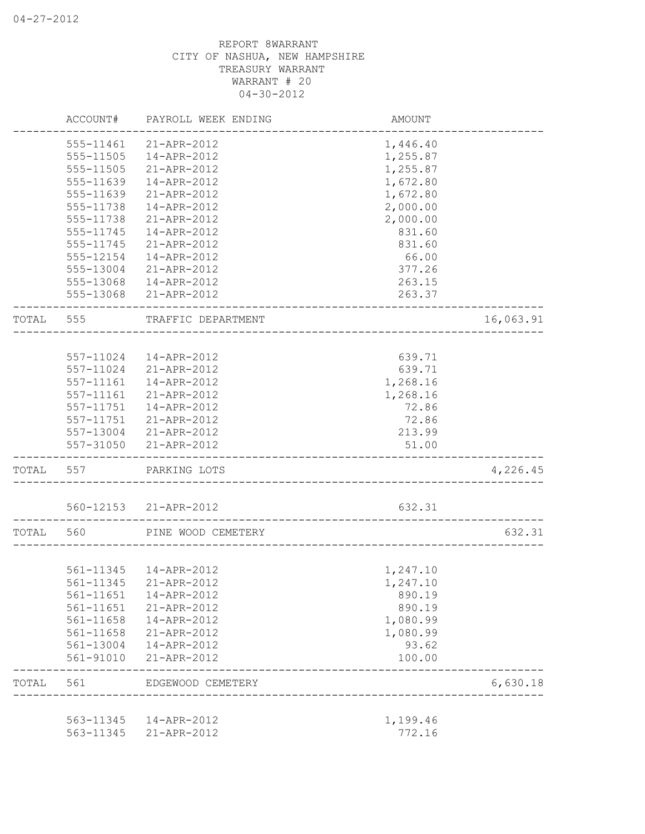|           | ACCOUNT#  | PAYROLL WEEK ENDING    | AMOUNT   |           |
|-----------|-----------|------------------------|----------|-----------|
|           | 555-11461 | 21-APR-2012            | 1,446.40 |           |
|           | 555-11505 | 14-APR-2012            | 1,255.87 |           |
|           | 555-11505 | 21-APR-2012            | 1,255.87 |           |
|           | 555-11639 | 14-APR-2012            | 1,672.80 |           |
|           | 555-11639 | 21-APR-2012            | 1,672.80 |           |
|           | 555-11738 | 14-APR-2012            | 2,000.00 |           |
|           | 555-11738 | 21-APR-2012            | 2,000.00 |           |
|           | 555-11745 | 14-APR-2012            | 831.60   |           |
|           | 555-11745 | 21-APR-2012            | 831.60   |           |
|           | 555-12154 | 14-APR-2012            | 66.00    |           |
|           |           | 555-13004 21-APR-2012  | 377.26   |           |
|           |           | 555-13068  14-APR-2012 | 263.15   |           |
|           |           | 555-13068 21-APR-2012  | 263.37   |           |
| TOTAL     | 555       | TRAFFIC DEPARTMENT     |          | 16,063.91 |
|           |           |                        |          |           |
|           |           | 557-11024  14-APR-2012 | 639.71   |           |
|           |           | 557-11024 21-APR-2012  | 639.71   |           |
|           |           | 557-11161  14-APR-2012 | 1,268.16 |           |
|           |           | 557-11161 21-APR-2012  | 1,268.16 |           |
|           |           | 557-11751  14-APR-2012 | 72.86    |           |
|           |           | 557-11751 21-APR-2012  | 72.86    |           |
|           |           | 557-13004 21-APR-2012  | 213.99   |           |
|           |           | 557-31050 21-APR-2012  | 51.00    |           |
| TOTAL 557 |           | PARKING LOTS           |          | 4,226.45  |
|           |           | 560-12153 21-APR-2012  | 632.31   |           |
| TOTAL     | 560       | PINE WOOD CEMETERY     |          | 632.31    |
|           |           |                        |          |           |
|           |           | 561-11345  14-APR-2012 | 1,247.10 |           |
|           | 561-11345 | 21-APR-2012            | 1,247.10 |           |
|           | 561-11651 | 14-APR-2012            | 890.19   |           |
|           | 561-11651 | 21-APR-2012            | 890.19   |           |
|           | 561-11658 | 14-APR-2012            | 1,080.99 |           |
|           | 561-11658 | 21-APR-2012            | 1,080.99 |           |
|           | 561-13004 | 14-APR-2012            | 93.62    |           |
|           | 561-91010 | 21-APR-2012            | 100.00   |           |
| TOTAL     | 561       | EDGEWOOD CEMETERY      |          | 6,630.18  |
|           |           |                        |          |           |
|           | 563-11345 | 14-APR-2012            | 1,199.46 |           |
|           | 563-11345 | 21-APR-2012            | 772.16   |           |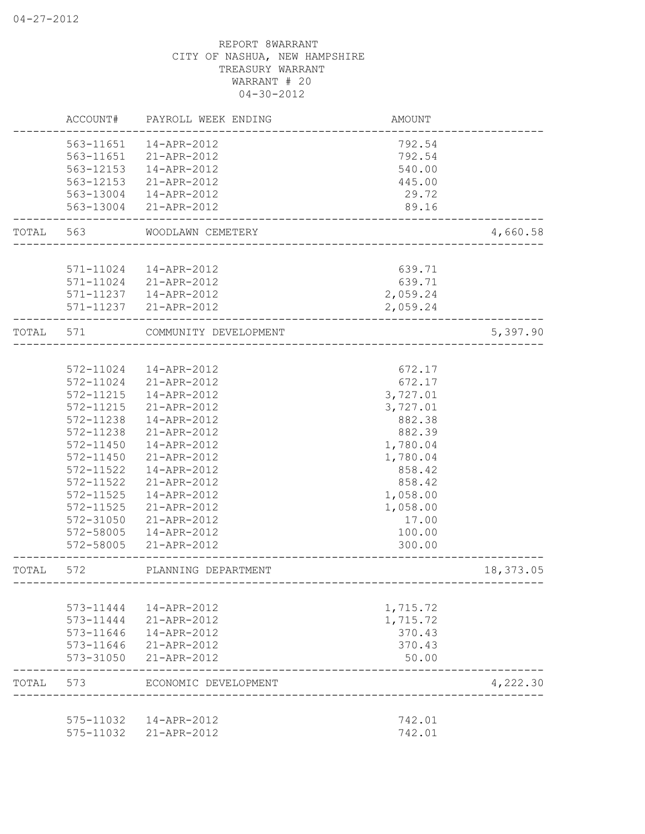|       | ACCOUNT#<br>PAYROLL WEEK ENDING |                                                 | <b>AMOUNT</b>                     |           |  |
|-------|---------------------------------|-------------------------------------------------|-----------------------------------|-----------|--|
|       | 563-11651                       | 14-APR-2012                                     | 792.54                            |           |  |
|       | 563-11651                       | 21-APR-2012                                     | 792.54                            |           |  |
|       | 563-12153                       | $14 - APR - 2012$                               | 540.00                            |           |  |
|       | 563-12153                       | 21-APR-2012                                     | 445.00                            |           |  |
|       | 563-13004                       | 14-APR-2012                                     | 29.72                             |           |  |
|       |                                 | 563-13004 21-APR-2012                           | 89.16                             |           |  |
| TOTAL | 563                             | WOODLAWN CEMETERY                               |                                   | 4,660.58  |  |
|       |                                 |                                                 |                                   |           |  |
|       |                                 | 571-11024  14-APR-2012                          | 639.71                            |           |  |
|       |                                 | 571-11024 21-APR-2012                           | 639.71                            |           |  |
|       |                                 | 571-11237  14-APR-2012<br>571-11237 21-APR-2012 | 2,059.24<br>2,059.24              |           |  |
| TOTAL | 571                             | COMMUNITY DEVELOPMENT                           |                                   | 5,397.90  |  |
|       |                                 |                                                 |                                   |           |  |
|       | 572-11024                       | 14-APR-2012                                     | 672.17                            |           |  |
|       | 572-11024                       | 21-APR-2012                                     | 672.17                            |           |  |
|       | 572-11215                       | 14-APR-2012                                     | 3,727.01                          |           |  |
|       | 572-11215                       | 21-APR-2012                                     | 3,727.01                          |           |  |
|       | 572-11238                       | 14-APR-2012                                     | 882.38                            |           |  |
|       | 572-11238                       | 21-APR-2012                                     | 882.39                            |           |  |
|       | $572 - 11450$                   | 14-APR-2012                                     | 1,780.04                          |           |  |
|       | $572 - 11450$                   | 21-APR-2012                                     | 1,780.04                          |           |  |
|       | 572-11522                       | 14-APR-2012                                     | 858.42                            |           |  |
|       | 572-11522                       | 21-APR-2012                                     | 858.42                            |           |  |
|       | 572-11525                       | 14-APR-2012                                     | 1,058.00                          |           |  |
|       | 572-11525                       | 21-APR-2012                                     | 1,058.00                          |           |  |
|       | 572-31050                       | 21-APR-2012                                     | 17.00                             |           |  |
|       | 572-58005                       | 14-APR-2012                                     | 100.00                            |           |  |
|       | 572-58005                       | 21-APR-2012                                     | 300.00                            |           |  |
| TOTAL | 572                             | PLANNING DEPARTMENT                             | --------------------------------- | 18,373.05 |  |
|       |                                 |                                                 |                                   |           |  |
|       | 573-11444                       | 14-APR-2012                                     | 1,715.72                          |           |  |
|       | 573-11444                       | 21-APR-2012                                     | 1,715.72                          |           |  |
|       | 573-11646                       | 14-APR-2012                                     | 370.43                            |           |  |
|       | 573-11646<br>573-31050          | 21-APR-2012<br>21-APR-2012                      | 370.43<br>50.00                   |           |  |
| TOTAL | 573                             | ECONOMIC DEVELOPMENT                            |                                   | 4,222.30  |  |
|       |                                 |                                                 |                                   |           |  |
|       | 575-11032                       | 14-APR-2012                                     | 742.01                            |           |  |
|       | 575-11032                       | 21-APR-2012                                     | 742.01                            |           |  |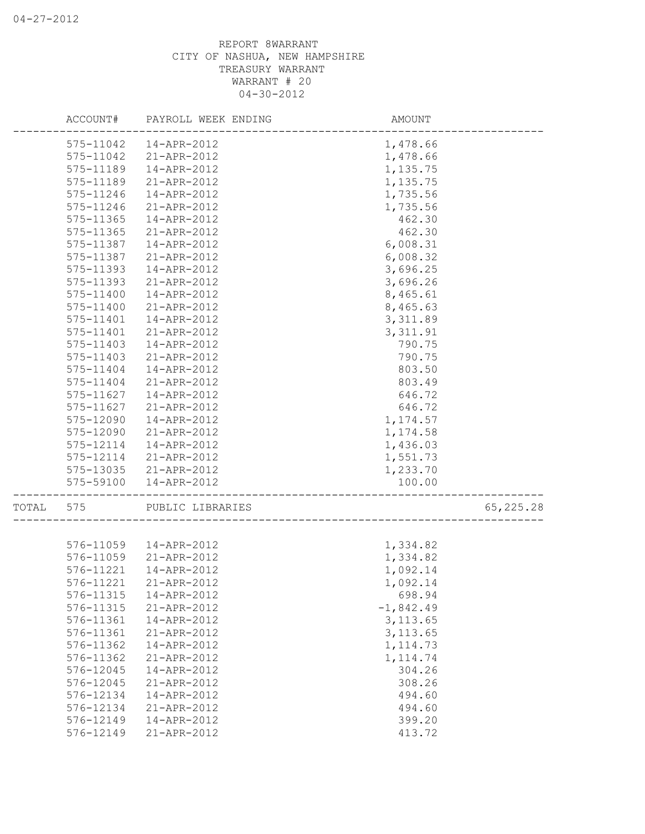|       | ACCOUNT#  | PAYROLL WEEK ENDING | AMOUNT      |           |
|-------|-----------|---------------------|-------------|-----------|
|       | 575-11042 | 14-APR-2012         | 1,478.66    |           |
|       | 575-11042 | 21-APR-2012         | 1,478.66    |           |
|       | 575-11189 | 14-APR-2012         | 1,135.75    |           |
|       | 575-11189 | 21-APR-2012         | 1,135.75    |           |
|       | 575-11246 | 14-APR-2012         | 1,735.56    |           |
|       | 575-11246 | 21-APR-2012         | 1,735.56    |           |
|       | 575-11365 | 14-APR-2012         | 462.30      |           |
|       | 575-11365 | 21-APR-2012         | 462.30      |           |
|       | 575-11387 | 14-APR-2012         | 6,008.31    |           |
|       | 575-11387 | 21-APR-2012         | 6,008.32    |           |
|       | 575-11393 | 14-APR-2012         | 3,696.25    |           |
|       | 575-11393 | 21-APR-2012         | 3,696.26    |           |
|       | 575-11400 | 14-APR-2012         | 8,465.61    |           |
|       | 575-11400 | 21-APR-2012         | 8,465.63    |           |
|       | 575-11401 | 14-APR-2012         | 3,311.89    |           |
|       | 575-11401 | 21-APR-2012         | 3, 311.91   |           |
|       | 575-11403 | 14-APR-2012         | 790.75      |           |
|       | 575-11403 | 21-APR-2012         | 790.75      |           |
|       | 575-11404 | 14-APR-2012         | 803.50      |           |
|       | 575-11404 | 21-APR-2012         | 803.49      |           |
|       | 575-11627 | 14-APR-2012         | 646.72      |           |
|       | 575-11627 | 21-APR-2012         | 646.72      |           |
|       | 575-12090 | 14-APR-2012         | 1,174.57    |           |
|       | 575-12090 | 21-APR-2012         | 1,174.58    |           |
|       | 575-12114 | 14-APR-2012         | 1,436.03    |           |
|       | 575-12114 | 21-APR-2012         | 1,551.73    |           |
|       | 575-13035 | 21-APR-2012         | 1,233.70    |           |
|       | 575-59100 | 14-APR-2012         | 100.00      |           |
| TOTAL | 575       | PUBLIC LIBRARIES    |             | 65,225.28 |
|       |           |                     |             |           |
|       | 576-11059 | 14-APR-2012         | 1,334.82    |           |
|       | 576-11059 | 21-APR-2012         | 1,334.82    |           |
|       | 576-11221 | 14-APR-2012         | 1,092.14    |           |
|       | 576-11221 | 21-APR-2012         | 1,092.14    |           |
|       | 576-11315 | 14-APR-2012         | 698.94      |           |
|       | 576-11315 | 21-APR-2012         | $-1,842.49$ |           |
|       | 576-11361 | 14-APR-2012         | 3, 113.65   |           |
|       | 576-11361 | 21-APR-2012         | 3, 113.65   |           |
|       | 576-11362 | 14-APR-2012         | 1, 114.73   |           |
|       | 576-11362 | 21-APR-2012         | 1, 114.74   |           |
|       | 576-12045 | 14-APR-2012         | 304.26      |           |
|       | 576-12045 | 21-APR-2012         | 308.26      |           |
|       | 576-12134 | 14-APR-2012         | 494.60      |           |
|       | 576-12134 | 21-APR-2012         | 494.60      |           |
|       | 576-12149 | 14-APR-2012         | 399.20      |           |
|       | 576-12149 | 21-APR-2012         | 413.72      |           |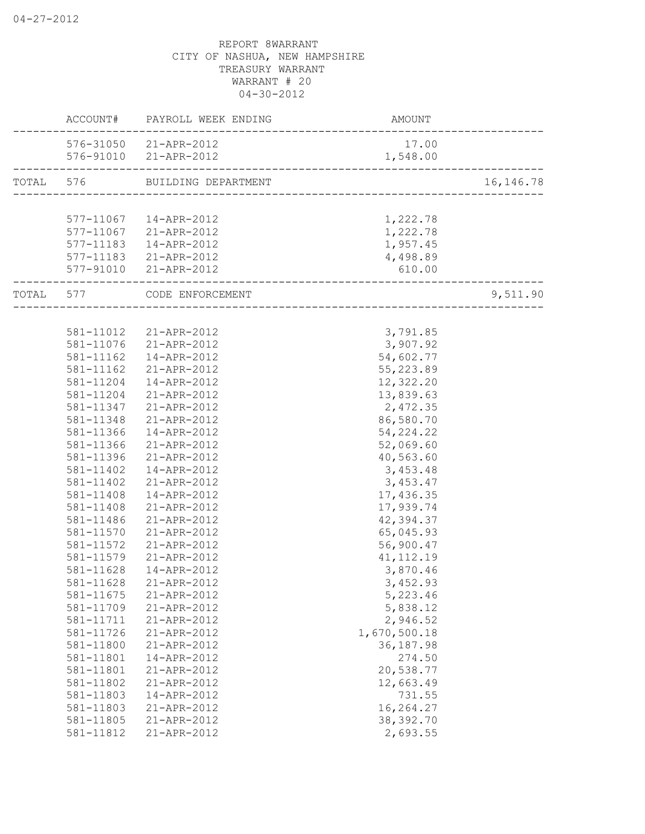|       | ACCOUNT#  | PAYROLL WEEK ENDING           | AMOUNT       |            |
|-------|-----------|-------------------------------|--------------|------------|
|       |           | 576-31050 21-APR-2012         | 17.00        |            |
|       |           | 576-91010 21-APR-2012         | 1,548.00     |            |
|       |           | TOTAL 576 BUILDING DEPARTMENT |              | 16, 146.78 |
|       |           |                               |              |            |
|       | 577-11067 | 14-APR-2012                   | 1,222.78     |            |
|       | 577-11067 | 21-APR-2012                   | 1,222.78     |            |
|       | 577-11183 | 14-APR-2012                   | 1,957.45     |            |
|       | 577-11183 | 21-APR-2012                   | 4,498.89     |            |
|       | 577-91010 | 21-APR-2012                   | 610.00       |            |
| TOTAL | 577       | CODE ENFORCEMENT              |              | 9,511.90   |
|       |           |                               |              |            |
|       | 581-11012 | 21-APR-2012                   | 3,791.85     |            |
|       | 581-11076 | 21-APR-2012                   | 3,907.92     |            |
|       | 581-11162 | 14-APR-2012                   | 54,602.77    |            |
|       | 581-11162 | 21-APR-2012                   | 55, 223.89   |            |
|       | 581-11204 | 14-APR-2012                   | 12,322.20    |            |
|       | 581-11204 | 21-APR-2012                   | 13,839.63    |            |
|       | 581-11347 | 21-APR-2012                   | 2,472.35     |            |
|       | 581-11348 | 21-APR-2012                   | 86,580.70    |            |
|       | 581-11366 | 14-APR-2012                   | 54, 224. 22  |            |
|       | 581-11366 | 21-APR-2012                   | 52,069.60    |            |
|       | 581-11396 | 21-APR-2012                   | 40,563.60    |            |
|       | 581-11402 | 14-APR-2012                   | 3,453.48     |            |
|       | 581-11402 | 21-APR-2012                   | 3,453.47     |            |
|       | 581-11408 | 14-APR-2012                   | 17,436.35    |            |
|       | 581-11408 | 21-APR-2012                   | 17,939.74    |            |
|       | 581-11486 | 21-APR-2012                   | 42,394.37    |            |
|       | 581-11570 | 21-APR-2012                   | 65,045.93    |            |
|       | 581-11572 | 21-APR-2012                   | 56,900.47    |            |
|       | 581-11579 | 21-APR-2012                   | 41, 112.19   |            |
|       | 581-11628 | 14-APR-2012                   | 3,870.46     |            |
|       | 581-11628 | 21-APR-2012                   | 3,452.93     |            |
|       | 581-11675 | 21-APR-2012                   | 5,223.46     |            |
|       | 581-11709 | 21-APR-2012                   | 5,838.12     |            |
|       | 581-11711 | 21-APR-2012                   | 2,946.52     |            |
|       | 581-11726 | 21-APR-2012                   | 1,670,500.18 |            |
|       | 581-11800 | 21-APR-2012                   | 36, 187.98   |            |
|       | 581-11801 | 14-APR-2012                   | 274.50       |            |
|       | 581-11801 | 21-APR-2012                   | 20,538.77    |            |
|       | 581-11802 | 21-APR-2012                   | 12,663.49    |            |
|       | 581-11803 | 14-APR-2012                   | 731.55       |            |
|       | 581-11803 | 21-APR-2012                   | 16,264.27    |            |
|       | 581-11805 | 21-APR-2012                   | 38, 392.70   |            |
|       | 581-11812 | 21-APR-2012                   | 2,693.55     |            |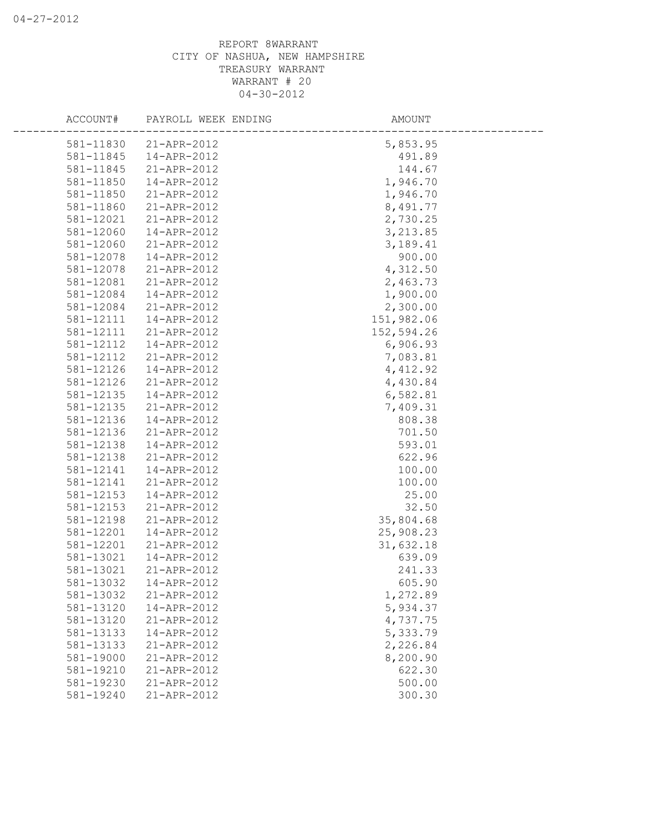| ACCOUNT#               | PAYROLL WEEK ENDING        | AMOUNT               |
|------------------------|----------------------------|----------------------|
| 581-11830              | 21-APR-2012                | 5,853.95             |
| 581-11845              | 14-APR-2012                | 491.89               |
| 581-11845              | 21-APR-2012                | 144.67               |
| 581-11850              | 14-APR-2012                | 1,946.70             |
| 581-11850              | 21-APR-2012                | 1,946.70             |
| 581-11860              | 21-APR-2012                | 8,491.77             |
| 581-12021              | 21-APR-2012                | 2,730.25             |
| 581-12060              | 14-APR-2012                | 3,213.85             |
| 581-12060              | 21-APR-2012                | 3,189.41             |
| 581-12078              | 14-APR-2012                | 900.00               |
| 581-12078              | 21-APR-2012                | 4,312.50             |
| 581-12081              | 21-APR-2012                | 2,463.73             |
| 581-12084              | 14-APR-2012                | 1,900.00             |
| 581-12084              | 21-APR-2012                | 2,300.00             |
| 581-12111              | 14-APR-2012                | 151,982.06           |
| 581-12111              | 21-APR-2012                | 152,594.26           |
| 581-12112              | 14-APR-2012                | 6,906.93             |
| 581-12112              | 21-APR-2012                | 7,083.81             |
| 581-12126              | 14-APR-2012                | 4,412.92             |
| 581-12126              | 21-APR-2012<br>14-APR-2012 | 4,430.84             |
| 581-12135<br>581-12135 | 21-APR-2012                | 6,582.81<br>7,409.31 |
| 581-12136              | 14-APR-2012                | 808.38               |
| 581-12136              | 21-APR-2012                | 701.50               |
| 581-12138              | 14-APR-2012                | 593.01               |
| 581-12138              | 21-APR-2012                | 622.96               |
| 581-12141              | 14-APR-2012                | 100.00               |
| 581-12141              | 21-APR-2012                | 100.00               |
| 581-12153              | 14-APR-2012                | 25.00                |
| 581-12153              | 21-APR-2012                | 32.50                |
| 581-12198              | 21-APR-2012                | 35,804.68            |
| 581-12201              | 14-APR-2012                | 25,908.23            |
| 581-12201              | 21-APR-2012                | 31,632.18            |
| 581-13021              | 14-APR-2012                | 639.09               |
| 581-13021              | 21-APR-2012                | 241.33               |
|                        | 581-13032  14-APR-2012     | 605.90               |
| 581-13032              | 21-APR-2012                | 1,272.89             |
| 581-13120              | 14-APR-2012                | 5,934.37             |
| 581-13120              | 21-APR-2012                | 4,737.75             |
| 581-13133              | 14-APR-2012                | 5,333.79             |
| 581-13133              | 21-APR-2012                | 2,226.84             |
| 581-19000              | 21-APR-2012                | 8,200.90             |
| 581-19210              | 21-APR-2012                | 622.30               |
| 581-19230              | 21-APR-2012                | 500.00               |
| 581-19240              | 21-APR-2012                | 300.30               |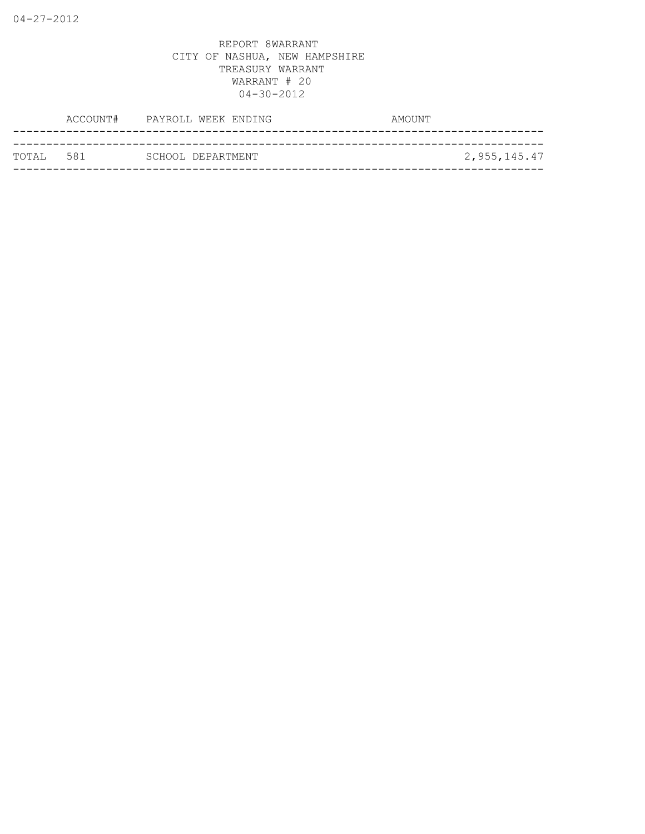|  | ТОТАІ. 581 |  | SCHOOL DEPARTMENT | 2,955,145.47 |
|--|------------|--|-------------------|--------------|
|  |            |  |                   |              |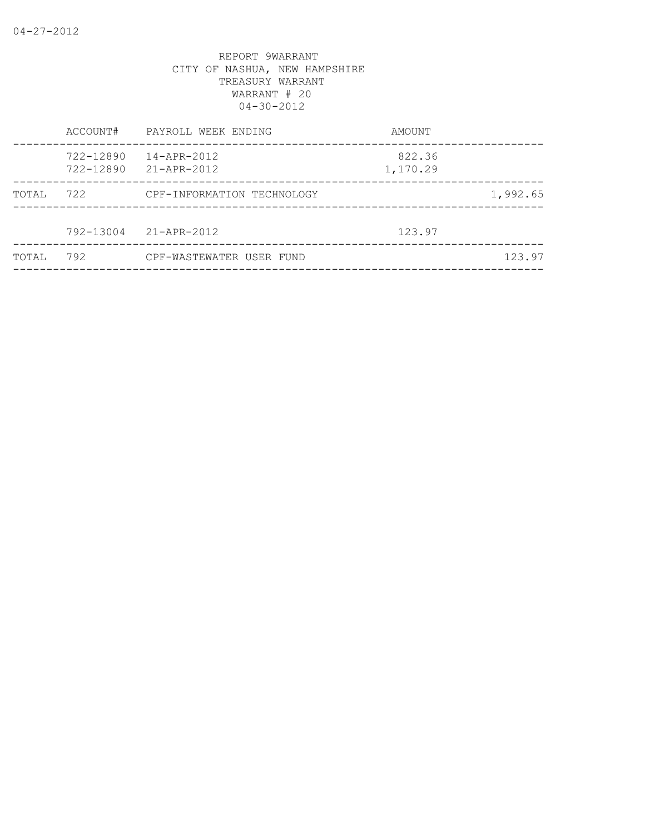|        | ACCOUNT#               | PAYROLL WEEK ENDING        | AMOUNT             |          |
|--------|------------------------|----------------------------|--------------------|----------|
|        | 722-12890<br>722-12890 | 14-APR-2012<br>21-APR-2012 | 822.36<br>1,170.29 |          |
| TOTAL  | 722                    | CPF-INFORMATION TECHNOLOGY |                    | 1,992.65 |
|        |                        | 792-13004 21-APR-2012      | 123.97             |          |
| TOTAI, | 792                    | CPF-WASTEWATER USER FUND   |                    | 123.97   |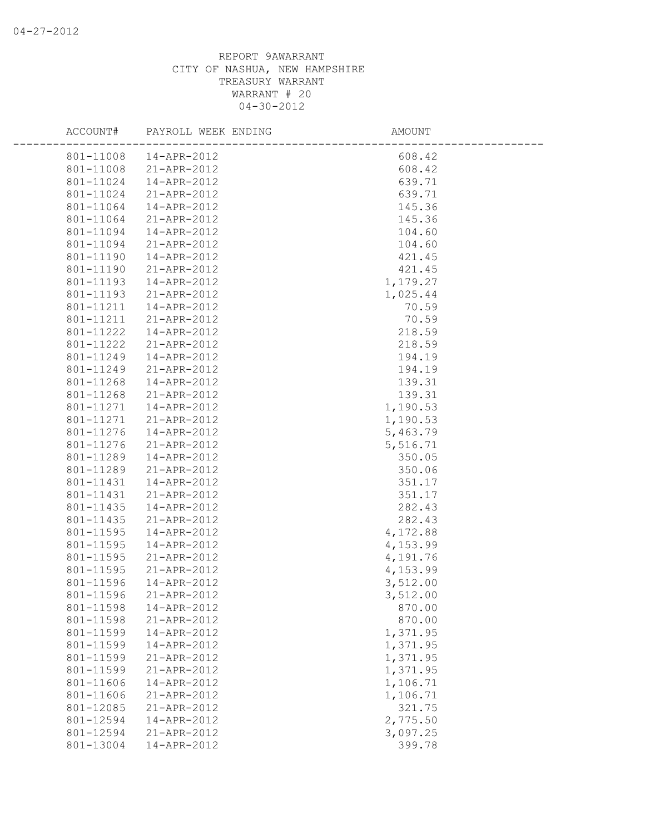| ACCOUNT#  | PAYROLL WEEK ENDING | AMOUNT   |  |
|-----------|---------------------|----------|--|
| 801-11008 | 14-APR-2012         | 608.42   |  |
| 801-11008 | 21-APR-2012         | 608.42   |  |
| 801-11024 | 14-APR-2012         | 639.71   |  |
| 801-11024 | 21-APR-2012         | 639.71   |  |
| 801-11064 | 14-APR-2012         | 145.36   |  |
| 801-11064 | 21-APR-2012         | 145.36   |  |
| 801-11094 | 14-APR-2012         | 104.60   |  |
| 801-11094 | 21-APR-2012         | 104.60   |  |
| 801-11190 | 14-APR-2012         | 421.45   |  |
| 801-11190 | 21-APR-2012         | 421.45   |  |
| 801-11193 | 14-APR-2012         | 1,179.27 |  |
| 801-11193 | 21-APR-2012         | 1,025.44 |  |
| 801-11211 | 14-APR-2012         | 70.59    |  |
| 801-11211 | 21-APR-2012         | 70.59    |  |
| 801-11222 | 14-APR-2012         | 218.59   |  |
| 801-11222 | 21-APR-2012         | 218.59   |  |
| 801-11249 | 14-APR-2012         | 194.19   |  |
| 801-11249 | 21-APR-2012         | 194.19   |  |
| 801-11268 | 14-APR-2012         | 139.31   |  |
| 801-11268 | 21-APR-2012         | 139.31   |  |
| 801-11271 | 14-APR-2012         | 1,190.53 |  |
| 801-11271 | 21-APR-2012         | 1,190.53 |  |
| 801-11276 | 14-APR-2012         | 5,463.79 |  |
| 801-11276 | 21-APR-2012         | 5,516.71 |  |
| 801-11289 | 14-APR-2012         | 350.05   |  |
| 801-11289 | 21-APR-2012         | 350.06   |  |
| 801-11431 | 14-APR-2012         | 351.17   |  |
| 801-11431 | 21-APR-2012         | 351.17   |  |
| 801-11435 | 14-APR-2012         | 282.43   |  |
| 801-11435 | 21-APR-2012         | 282.43   |  |
| 801-11595 | 14-APR-2012         | 4,172.88 |  |
| 801-11595 | 14-APR-2012         | 4,153.99 |  |
| 801-11595 | 21-APR-2012         | 4,191.76 |  |
| 801-11595 | 21-APR-2012         | 4,153.99 |  |
| 801-11596 | 14-APR-2012         | 3,512.00 |  |
| 801-11596 | 21-APR-2012         | 3,512.00 |  |
| 801-11598 | 14-APR-2012         | 870.00   |  |
| 801-11598 | 21-APR-2012         | 870.00   |  |
| 801-11599 | 14-APR-2012         | 1,371.95 |  |
| 801-11599 | 14-APR-2012         | 1,371.95 |  |
| 801-11599 | 21-APR-2012         | 1,371.95 |  |
| 801-11599 | 21-APR-2012         | 1,371.95 |  |
| 801-11606 | 14-APR-2012         | 1,106.71 |  |
| 801-11606 | 21-APR-2012         | 1,106.71 |  |
| 801-12085 | 21-APR-2012         | 321.75   |  |
| 801-12594 | 14-APR-2012         | 2,775.50 |  |
| 801-12594 | 21-APR-2012         | 3,097.25 |  |
| 801-13004 | 14-APR-2012         | 399.78   |  |
|           |                     |          |  |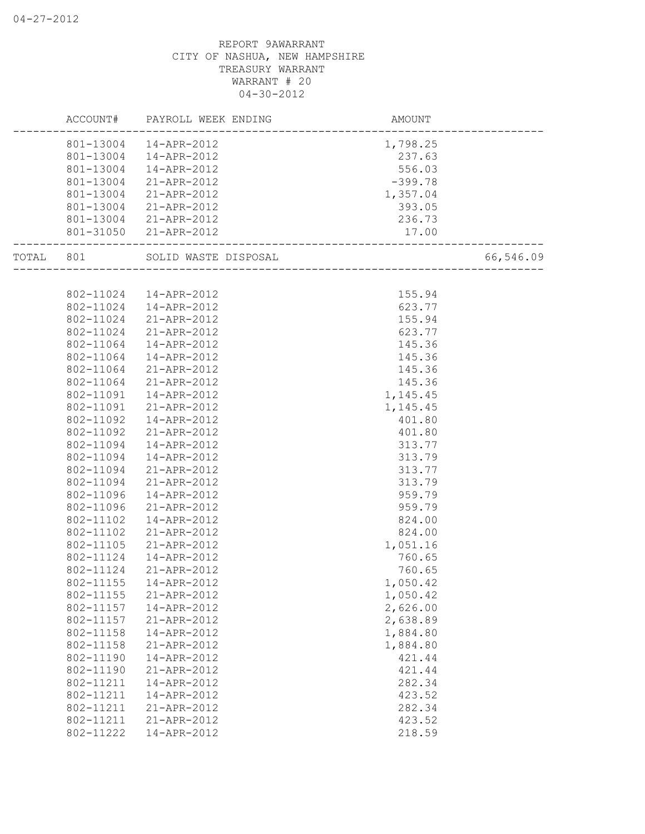|       | ACCOUNT#  | PAYROLL WEEK ENDING  | AMOUNT    |           |
|-------|-----------|----------------------|-----------|-----------|
|       | 801-13004 | 14-APR-2012          | 1,798.25  |           |
|       | 801-13004 | 14-APR-2012          | 237.63    |           |
|       | 801-13004 | 14-APR-2012          | 556.03    |           |
|       | 801-13004 | 21-APR-2012          | $-399.78$ |           |
|       | 801-13004 | 21-APR-2012          | 1,357.04  |           |
|       | 801-13004 | 21-APR-2012          | 393.05    |           |
|       | 801-13004 | 21-APR-2012          | 236.73    |           |
|       | 801-31050 | 21-APR-2012          | 17.00     |           |
| TOTAL | 801       | SOLID WASTE DISPOSAL |           | 66,546.09 |
|       |           |                      |           |           |
|       | 802-11024 | 14-APR-2012          | 155.94    |           |
|       | 802-11024 | 14-APR-2012          | 623.77    |           |
|       | 802-11024 | 21-APR-2012          | 155.94    |           |
|       | 802-11024 | 21-APR-2012          | 623.77    |           |
|       | 802-11064 | 14-APR-2012          | 145.36    |           |
|       | 802-11064 | 14-APR-2012          | 145.36    |           |
|       | 802-11064 | 21-APR-2012          | 145.36    |           |
|       | 802-11064 | 21-APR-2012          | 145.36    |           |
|       | 802-11091 | 14-APR-2012          | 1,145.45  |           |
|       | 802-11091 | 21-APR-2012          | 1,145.45  |           |
|       | 802-11092 | 14-APR-2012          | 401.80    |           |
|       | 802-11092 | 21-APR-2012          | 401.80    |           |
|       | 802-11094 | 14-APR-2012          | 313.77    |           |
|       | 802-11094 | 14-APR-2012          | 313.79    |           |
|       | 802-11094 | 21-APR-2012          | 313.77    |           |
|       | 802-11094 | 21-APR-2012          | 313.79    |           |
|       | 802-11096 | 14-APR-2012          | 959.79    |           |
|       | 802-11096 | 21-APR-2012          | 959.79    |           |
|       | 802-11102 | 14-APR-2012          | 824.00    |           |
|       | 802-11102 | 21-APR-2012          | 824.00    |           |
|       | 802-11105 | 21-APR-2012          | 1,051.16  |           |
|       | 802-11124 | 14-APR-2012          | 760.65    |           |
|       | 802-11124 | 21-APR-2012          | 760.65    |           |
|       | 802-11155 | 14-APR-2012          | 1,050.42  |           |
|       | 802-11155 | 21-APR-2012          | 1,050.42  |           |
|       | 802-11157 | 14-APR-2012          | 2,626.00  |           |
|       | 802-11157 | 21-APR-2012          | 2,638.89  |           |
|       | 802-11158 | 14-APR-2012          | 1,884.80  |           |
|       | 802-11158 | 21-APR-2012          | 1,884.80  |           |
|       | 802-11190 | 14-APR-2012          | 421.44    |           |
|       | 802-11190 | 21-APR-2012          | 421.44    |           |
|       | 802-11211 | 14-APR-2012          | 282.34    |           |
|       | 802-11211 | 14-APR-2012          | 423.52    |           |
|       | 802-11211 | 21-APR-2012          | 282.34    |           |
|       | 802-11211 | 21-APR-2012          | 423.52    |           |
|       | 802-11222 | 14-APR-2012          | 218.59    |           |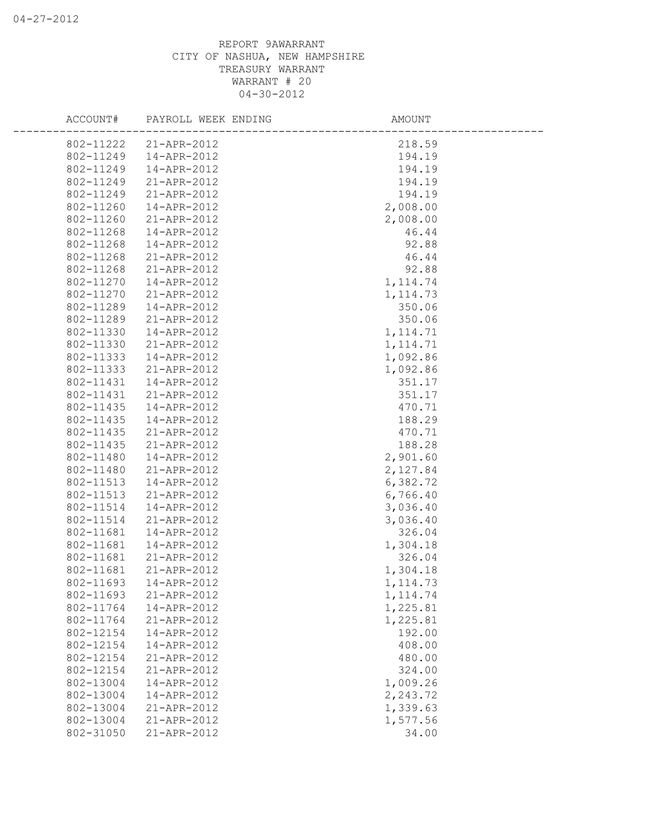| ACCOUNT#  | PAYROLL WEEK ENDING   | AMOUNT    |  |
|-----------|-----------------------|-----------|--|
|           | 802-11222 21-APR-2012 | 218.59    |  |
| 802-11249 | 14-APR-2012           | 194.19    |  |
| 802-11249 | 14-APR-2012           | 194.19    |  |
| 802-11249 | 21-APR-2012           | 194.19    |  |
| 802-11249 | 21-APR-2012           | 194.19    |  |
| 802-11260 | 14-APR-2012           | 2,008.00  |  |
| 802-11260 | 21-APR-2012           | 2,008.00  |  |
| 802-11268 | 14-APR-2012           | 46.44     |  |
| 802-11268 | 14-APR-2012           | 92.88     |  |
| 802-11268 | 21-APR-2012           | 46.44     |  |
| 802-11268 | 21-APR-2012           | 92.88     |  |
| 802-11270 | 14-APR-2012           | 1, 114.74 |  |
| 802-11270 | 21-APR-2012           | 1, 114.73 |  |
| 802-11289 | 14-APR-2012           | 350.06    |  |
| 802-11289 | 21-APR-2012           | 350.06    |  |
| 802-11330 | 14-APR-2012           | 1, 114.71 |  |
| 802-11330 | 21-APR-2012           | 1, 114.71 |  |
| 802-11333 | 14-APR-2012           | 1,092.86  |  |
| 802-11333 | 21-APR-2012           | 1,092.86  |  |
| 802-11431 | 14-APR-2012           | 351.17    |  |
| 802-11431 | 21-APR-2012           | 351.17    |  |
| 802-11435 | 14-APR-2012           | 470.71    |  |
| 802-11435 | 14-APR-2012           | 188.29    |  |
| 802-11435 | 21-APR-2012           | 470.71    |  |
| 802-11435 | 21-APR-2012           | 188.28    |  |
| 802-11480 | 14-APR-2012           | 2,901.60  |  |
| 802-11480 | 21-APR-2012           | 2,127.84  |  |
| 802-11513 | 14-APR-2012           | 6,382.72  |  |
| 802-11513 | 21-APR-2012           | 6,766.40  |  |
| 802-11514 | 14-APR-2012           | 3,036.40  |  |
| 802-11514 | 21-APR-2012           | 3,036.40  |  |
| 802-11681 | 14-APR-2012           | 326.04    |  |
| 802-11681 | 14-APR-2012           | 1,304.18  |  |
| 802-11681 | 21-APR-2012           | 326.04    |  |
| 802-11681 | 21-APR-2012           | 1,304.18  |  |
| 802-11693 | 14-APR-2012           | 1, 114.73 |  |
| 802-11693 | 21-APR-2012           | 1, 114.74 |  |
| 802-11764 | 14-APR-2012           | 1,225.81  |  |
| 802-11764 | 21-APR-2012           | 1,225.81  |  |
| 802-12154 | 14-APR-2012           | 192.00    |  |
| 802-12154 | 14-APR-2012           | 408.00    |  |
| 802-12154 | 21-APR-2012           | 480.00    |  |
| 802-12154 | 21-APR-2012           | 324.00    |  |
| 802-13004 | 14-APR-2012           | 1,009.26  |  |
| 802-13004 | 14-APR-2012           | 2,243.72  |  |
| 802-13004 | 21-APR-2012           | 1,339.63  |  |
| 802-13004 | 21-APR-2012           | 1,577.56  |  |
| 802-31050 | 21-APR-2012           | 34.00     |  |
|           |                       |           |  |